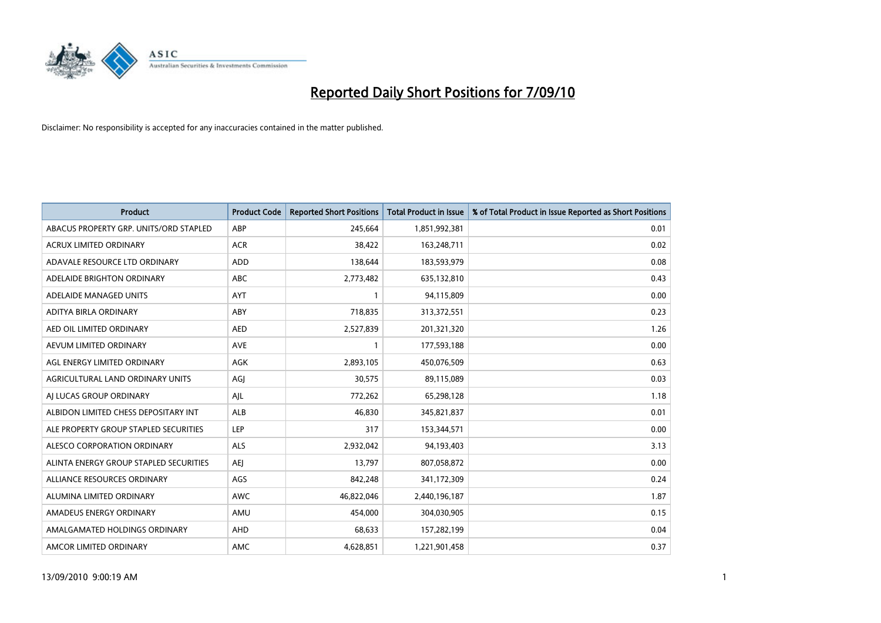

| <b>Product</b>                         | <b>Product Code</b> | <b>Reported Short Positions</b> | <b>Total Product in Issue</b> | % of Total Product in Issue Reported as Short Positions |
|----------------------------------------|---------------------|---------------------------------|-------------------------------|---------------------------------------------------------|
| ABACUS PROPERTY GRP. UNITS/ORD STAPLED | ABP                 | 245,664                         | 1,851,992,381                 | 0.01                                                    |
| ACRUX LIMITED ORDINARY                 | <b>ACR</b>          | 38,422                          | 163,248,711                   | 0.02                                                    |
| ADAVALE RESOURCE LTD ORDINARY          | <b>ADD</b>          | 138,644                         | 183,593,979                   | 0.08                                                    |
| ADELAIDE BRIGHTON ORDINARY             | <b>ABC</b>          | 2,773,482                       | 635,132,810                   | 0.43                                                    |
| ADELAIDE MANAGED UNITS                 | AYT                 |                                 | 94,115,809                    | 0.00                                                    |
| ADITYA BIRLA ORDINARY                  | ABY                 | 718,835                         | 313,372,551                   | 0.23                                                    |
| AED OIL LIMITED ORDINARY               | <b>AED</b>          | 2,527,839                       | 201,321,320                   | 1.26                                                    |
| AEVUM LIMITED ORDINARY                 | <b>AVE</b>          |                                 | 177,593,188                   | 0.00                                                    |
| AGL ENERGY LIMITED ORDINARY            | <b>AGK</b>          | 2,893,105                       | 450,076,509                   | 0.63                                                    |
| AGRICULTURAL LAND ORDINARY UNITS       | AGI                 | 30,575                          | 89,115,089                    | 0.03                                                    |
| AJ LUCAS GROUP ORDINARY                | AJL                 | 772,262                         | 65,298,128                    | 1.18                                                    |
| ALBIDON LIMITED CHESS DEPOSITARY INT   | <b>ALB</b>          | 46,830                          | 345,821,837                   | 0.01                                                    |
| ALE PROPERTY GROUP STAPLED SECURITIES  | LEP                 | 317                             | 153,344,571                   | 0.00                                                    |
| ALESCO CORPORATION ORDINARY            | <b>ALS</b>          | 2,932,042                       | 94,193,403                    | 3.13                                                    |
| ALINTA ENERGY GROUP STAPLED SECURITIES | <b>AEI</b>          | 13,797                          | 807,058,872                   | 0.00                                                    |
| ALLIANCE RESOURCES ORDINARY            | AGS                 | 842,248                         | 341,172,309                   | 0.24                                                    |
| ALUMINA LIMITED ORDINARY               | <b>AWC</b>          | 46,822,046                      | 2,440,196,187                 | 1.87                                                    |
| AMADEUS ENERGY ORDINARY                | AMU                 | 454.000                         | 304,030,905                   | 0.15                                                    |
| AMALGAMATED HOLDINGS ORDINARY          | AHD                 | 68,633                          | 157,282,199                   | 0.04                                                    |
| AMCOR LIMITED ORDINARY                 | <b>AMC</b>          | 4,628,851                       | 1,221,901,458                 | 0.37                                                    |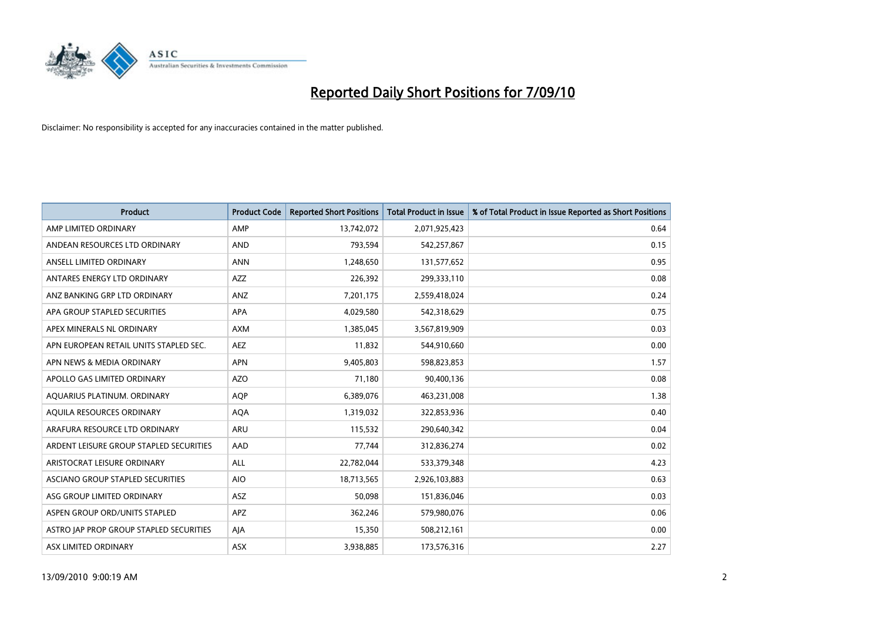

| <b>Product</b>                          | <b>Product Code</b> | <b>Reported Short Positions</b> | Total Product in Issue | % of Total Product in Issue Reported as Short Positions |
|-----------------------------------------|---------------------|---------------------------------|------------------------|---------------------------------------------------------|
| AMP LIMITED ORDINARY                    | AMP                 | 13,742,072                      | 2,071,925,423          | 0.64                                                    |
| ANDEAN RESOURCES LTD ORDINARY           | <b>AND</b>          | 793,594                         | 542,257,867            | 0.15                                                    |
| ANSELL LIMITED ORDINARY                 | <b>ANN</b>          | 1,248,650                       | 131,577,652            | 0.95                                                    |
| ANTARES ENERGY LTD ORDINARY             | <b>AZZ</b>          | 226,392                         | 299,333,110            | 0.08                                                    |
| ANZ BANKING GRP LTD ORDINARY            | ANZ                 | 7,201,175                       | 2,559,418,024          | 0.24                                                    |
| APA GROUP STAPLED SECURITIES            | <b>APA</b>          | 4,029,580                       | 542,318,629            | 0.75                                                    |
| APEX MINERALS NL ORDINARY               | <b>AXM</b>          | 1,385,045                       | 3,567,819,909          | 0.03                                                    |
| APN EUROPEAN RETAIL UNITS STAPLED SEC.  | <b>AEZ</b>          | 11,832                          | 544,910,660            | 0.00                                                    |
| APN NEWS & MEDIA ORDINARY               | <b>APN</b>          | 9,405,803                       | 598,823,853            | 1.57                                                    |
| APOLLO GAS LIMITED ORDINARY             | <b>AZO</b>          | 71.180                          | 90,400,136             | 0.08                                                    |
| AQUARIUS PLATINUM. ORDINARY             | <b>AOP</b>          | 6,389,076                       | 463,231,008            | 1.38                                                    |
| AQUILA RESOURCES ORDINARY               | <b>AQA</b>          | 1,319,032                       | 322,853,936            | 0.40                                                    |
| ARAFURA RESOURCE LTD ORDINARY           | <b>ARU</b>          | 115,532                         | 290,640,342            | 0.04                                                    |
| ARDENT LEISURE GROUP STAPLED SECURITIES | AAD                 | 77.744                          | 312,836,274            | 0.02                                                    |
| ARISTOCRAT LEISURE ORDINARY             | ALL                 | 22,782,044                      | 533,379,348            | 4.23                                                    |
| ASCIANO GROUP STAPLED SECURITIES        | <b>AIO</b>          | 18,713,565                      | 2,926,103,883          | 0.63                                                    |
| ASG GROUP LIMITED ORDINARY              | <b>ASZ</b>          | 50,098                          | 151,836,046            | 0.03                                                    |
| ASPEN GROUP ORD/UNITS STAPLED           | <b>APZ</b>          | 362,246                         | 579,980,076            | 0.06                                                    |
| ASTRO JAP PROP GROUP STAPLED SECURITIES | AJA                 | 15,350                          | 508,212,161            | 0.00                                                    |
| ASX LIMITED ORDINARY                    | ASX                 | 3,938,885                       | 173,576,316            | 2.27                                                    |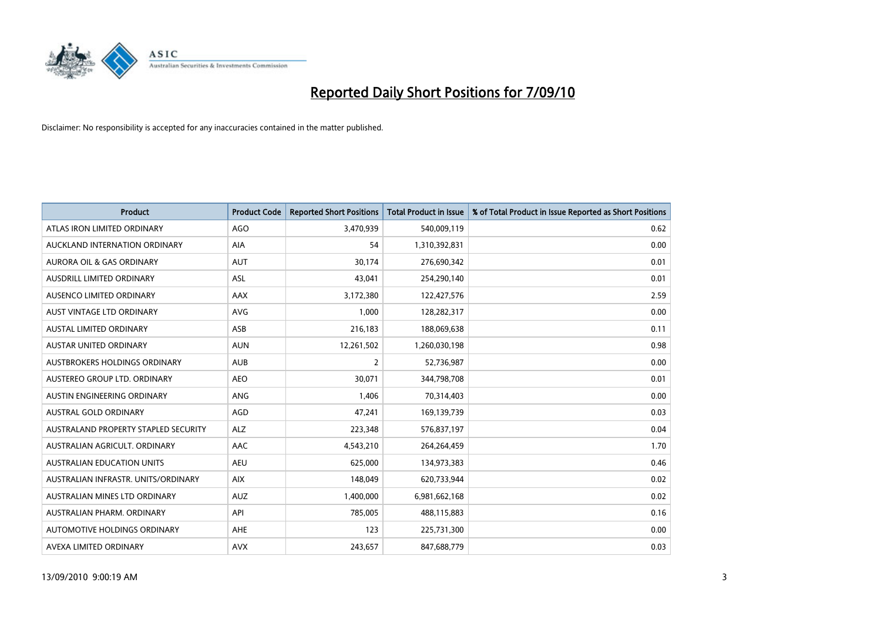

| <b>Product</b>                       | <b>Product Code</b> | <b>Reported Short Positions</b> | <b>Total Product in Issue</b> | % of Total Product in Issue Reported as Short Positions |
|--------------------------------------|---------------------|---------------------------------|-------------------------------|---------------------------------------------------------|
| ATLAS IRON LIMITED ORDINARY          | <b>AGO</b>          | 3,470,939                       | 540,009,119                   | 0.62                                                    |
| AUCKLAND INTERNATION ORDINARY        | AIA                 | 54                              | 1,310,392,831                 | 0.00                                                    |
| <b>AURORA OIL &amp; GAS ORDINARY</b> | <b>AUT</b>          | 30.174                          | 276,690,342                   | 0.01                                                    |
| AUSDRILL LIMITED ORDINARY            | ASL                 | 43,041                          | 254,290,140                   | 0.01                                                    |
| AUSENCO LIMITED ORDINARY             | AAX                 | 3,172,380                       | 122,427,576                   | 2.59                                                    |
| <b>AUST VINTAGE LTD ORDINARY</b>     | <b>AVG</b>          | 1,000                           | 128,282,317                   | 0.00                                                    |
| <b>AUSTAL LIMITED ORDINARY</b>       | ASB                 | 216,183                         | 188,069,638                   | 0.11                                                    |
| AUSTAR UNITED ORDINARY               | <b>AUN</b>          | 12,261,502                      | 1,260,030,198                 | 0.98                                                    |
| AUSTBROKERS HOLDINGS ORDINARY        | <b>AUB</b>          | $\overline{2}$                  | 52,736,987                    | 0.00                                                    |
| AUSTEREO GROUP LTD. ORDINARY         | <b>AEO</b>          | 30,071                          | 344,798,708                   | 0.01                                                    |
| AUSTIN ENGINEERING ORDINARY          | ANG                 | 1,406                           | 70,314,403                    | 0.00                                                    |
| AUSTRAL GOLD ORDINARY                | AGD                 | 47,241                          | 169,139,739                   | 0.03                                                    |
| AUSTRALAND PROPERTY STAPLED SECURITY | <b>ALZ</b>          | 223,348                         | 576,837,197                   | 0.04                                                    |
| AUSTRALIAN AGRICULT, ORDINARY        | AAC                 | 4,543,210                       | 264,264,459                   | 1.70                                                    |
| <b>AUSTRALIAN EDUCATION UNITS</b>    | <b>AEU</b>          | 625,000                         | 134,973,383                   | 0.46                                                    |
| AUSTRALIAN INFRASTR, UNITS/ORDINARY  | <b>AIX</b>          | 148,049                         | 620,733,944                   | 0.02                                                    |
| AUSTRALIAN MINES LTD ORDINARY        | <b>AUZ</b>          | 1,400,000                       | 6,981,662,168                 | 0.02                                                    |
| AUSTRALIAN PHARM. ORDINARY           | API                 | 785,005                         | 488,115,883                   | 0.16                                                    |
| AUTOMOTIVE HOLDINGS ORDINARY         | AHE                 | 123                             | 225,731,300                   | 0.00                                                    |
| AVEXA LIMITED ORDINARY               | <b>AVX</b>          | 243,657                         | 847,688,779                   | 0.03                                                    |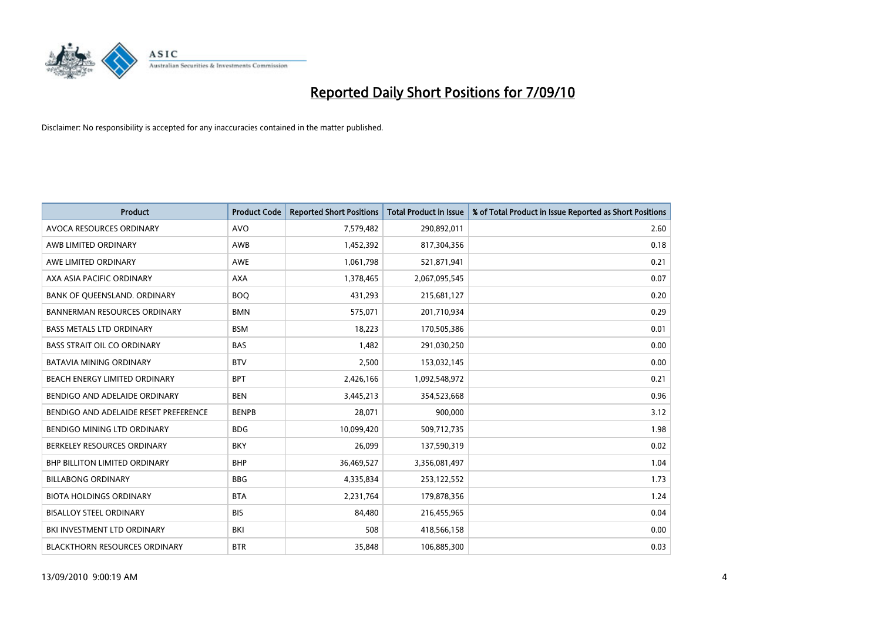

| <b>Product</b>                        | <b>Product Code</b> | <b>Reported Short Positions</b> | <b>Total Product in Issue</b> | % of Total Product in Issue Reported as Short Positions |
|---------------------------------------|---------------------|---------------------------------|-------------------------------|---------------------------------------------------------|
| AVOCA RESOURCES ORDINARY              | <b>AVO</b>          | 7,579,482                       | 290,892,011                   | 2.60                                                    |
| AWB LIMITED ORDINARY                  | <b>AWB</b>          | 1,452,392                       | 817,304,356                   | 0.18                                                    |
| AWE LIMITED ORDINARY                  | <b>AWE</b>          | 1,061,798                       | 521,871,941                   | 0.21                                                    |
| AXA ASIA PACIFIC ORDINARY             | <b>AXA</b>          | 1,378,465                       | 2,067,095,545                 | 0.07                                                    |
| BANK OF QUEENSLAND. ORDINARY          | <b>BOQ</b>          | 431,293                         | 215,681,127                   | 0.20                                                    |
| <b>BANNERMAN RESOURCES ORDINARY</b>   | <b>BMN</b>          | 575,071                         | 201,710,934                   | 0.29                                                    |
| <b>BASS METALS LTD ORDINARY</b>       | <b>BSM</b>          | 18.223                          | 170,505,386                   | 0.01                                                    |
| <b>BASS STRAIT OIL CO ORDINARY</b>    | <b>BAS</b>          | 1,482                           | 291,030,250                   | 0.00                                                    |
| BATAVIA MINING ORDINARY               | <b>BTV</b>          | 2,500                           | 153,032,145                   | 0.00                                                    |
| BEACH ENERGY LIMITED ORDINARY         | <b>BPT</b>          | 2,426,166                       | 1,092,548,972                 | 0.21                                                    |
| BENDIGO AND ADELAIDE ORDINARY         | <b>BEN</b>          | 3,445,213                       | 354,523,668                   | 0.96                                                    |
| BENDIGO AND ADELAIDE RESET PREFERENCE | <b>BENPB</b>        | 28,071                          | 900,000                       | 3.12                                                    |
| <b>BENDIGO MINING LTD ORDINARY</b>    | <b>BDG</b>          | 10,099,420                      | 509,712,735                   | 1.98                                                    |
| BERKELEY RESOURCES ORDINARY           | <b>BKY</b>          | 26,099                          | 137,590,319                   | 0.02                                                    |
| <b>BHP BILLITON LIMITED ORDINARY</b>  | <b>BHP</b>          | 36,469,527                      | 3,356,081,497                 | 1.04                                                    |
| <b>BILLABONG ORDINARY</b>             | <b>BBG</b>          | 4,335,834                       | 253,122,552                   | 1.73                                                    |
| <b>BIOTA HOLDINGS ORDINARY</b>        | <b>BTA</b>          | 2,231,764                       | 179,878,356                   | 1.24                                                    |
| <b>BISALLOY STEEL ORDINARY</b>        | <b>BIS</b>          | 84,480                          | 216,455,965                   | 0.04                                                    |
| BKI INVESTMENT LTD ORDINARY           | BKI                 | 508                             | 418,566,158                   | 0.00                                                    |
| <b>BLACKTHORN RESOURCES ORDINARY</b>  | <b>BTR</b>          | 35.848                          | 106,885,300                   | 0.03                                                    |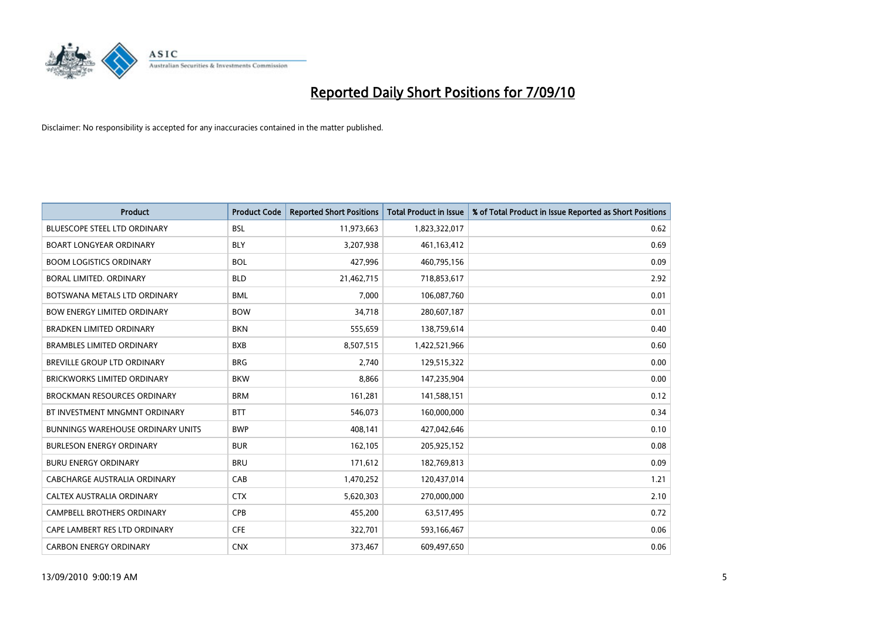

| <b>Product</b>                           | <b>Product Code</b> | <b>Reported Short Positions</b> | Total Product in Issue | % of Total Product in Issue Reported as Short Positions |
|------------------------------------------|---------------------|---------------------------------|------------------------|---------------------------------------------------------|
| <b>BLUESCOPE STEEL LTD ORDINARY</b>      | <b>BSL</b>          | 11,973,663                      | 1,823,322,017          | 0.62                                                    |
| <b>BOART LONGYEAR ORDINARY</b>           | <b>BLY</b>          | 3,207,938                       | 461,163,412            | 0.69                                                    |
| <b>BOOM LOGISTICS ORDINARY</b>           | <b>BOL</b>          | 427,996                         | 460,795,156            | 0.09                                                    |
| BORAL LIMITED. ORDINARY                  | <b>BLD</b>          | 21,462,715                      | 718,853,617            | 2.92                                                    |
| BOTSWANA METALS LTD ORDINARY             | <b>BML</b>          | 7.000                           | 106,087,760            | 0.01                                                    |
| <b>BOW ENERGY LIMITED ORDINARY</b>       | <b>BOW</b>          | 34,718                          | 280,607,187            | 0.01                                                    |
| <b>BRADKEN LIMITED ORDINARY</b>          | <b>BKN</b>          | 555,659                         | 138,759,614            | 0.40                                                    |
| <b>BRAMBLES LIMITED ORDINARY</b>         | <b>BXB</b>          | 8,507,515                       | 1,422,521,966          | 0.60                                                    |
| BREVILLE GROUP LTD ORDINARY              | <b>BRG</b>          | 2,740                           | 129,515,322            | 0.00                                                    |
| <b>BRICKWORKS LIMITED ORDINARY</b>       | <b>BKW</b>          | 8.866                           | 147,235,904            | 0.00                                                    |
| <b>BROCKMAN RESOURCES ORDINARY</b>       | <b>BRM</b>          | 161,281                         | 141,588,151            | 0.12                                                    |
| BT INVESTMENT MNGMNT ORDINARY            | <b>BTT</b>          | 546,073                         | 160,000,000            | 0.34                                                    |
| <b>BUNNINGS WAREHOUSE ORDINARY UNITS</b> | <b>BWP</b>          | 408,141                         | 427,042,646            | 0.10                                                    |
| <b>BURLESON ENERGY ORDINARY</b>          | <b>BUR</b>          | 162,105                         | 205,925,152            | 0.08                                                    |
| <b>BURU ENERGY ORDINARY</b>              | <b>BRU</b>          | 171,612                         | 182,769,813            | 0.09                                                    |
| CABCHARGE AUSTRALIA ORDINARY             | CAB                 | 1,470,252                       | 120,437,014            | 1.21                                                    |
| CALTEX AUSTRALIA ORDINARY                | <b>CTX</b>          | 5,620,303                       | 270,000,000            | 2.10                                                    |
| CAMPBELL BROTHERS ORDINARY               | <b>CPB</b>          | 455,200                         | 63,517,495             | 0.72                                                    |
| CAPE LAMBERT RES LTD ORDINARY            | <b>CFE</b>          | 322,701                         | 593,166,467            | 0.06                                                    |
| <b>CARBON ENERGY ORDINARY</b>            | <b>CNX</b>          | 373,467                         | 609.497.650            | 0.06                                                    |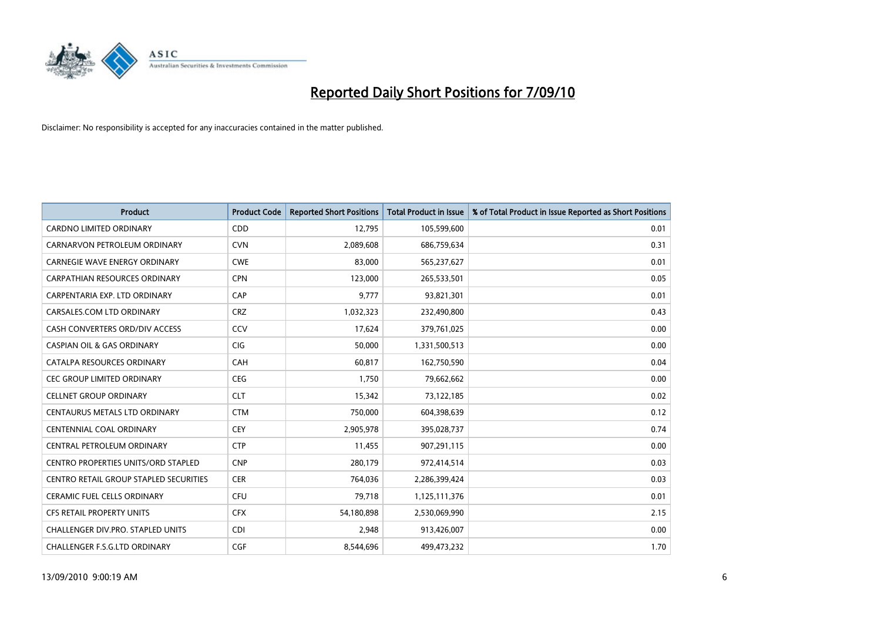

| <b>Product</b>                             | <b>Product Code</b> | <b>Reported Short Positions</b> | Total Product in Issue | % of Total Product in Issue Reported as Short Positions |
|--------------------------------------------|---------------------|---------------------------------|------------------------|---------------------------------------------------------|
| <b>CARDNO LIMITED ORDINARY</b>             | CDD                 | 12,795                          | 105,599,600            | 0.01                                                    |
| CARNARVON PETROLEUM ORDINARY               | <b>CVN</b>          | 2,089,608                       | 686,759,634            | 0.31                                                    |
| <b>CARNEGIE WAVE ENERGY ORDINARY</b>       | <b>CWE</b>          | 83,000                          | 565,237,627            | 0.01                                                    |
| CARPATHIAN RESOURCES ORDINARY              | <b>CPN</b>          | 123,000                         | 265,533,501            | 0.05                                                    |
| CARPENTARIA EXP. LTD ORDINARY              | CAP                 | 9,777                           | 93,821,301             | 0.01                                                    |
| CARSALES.COM LTD ORDINARY                  | <b>CRZ</b>          | 1,032,323                       | 232,490,800            | 0.43                                                    |
| CASH CONVERTERS ORD/DIV ACCESS             | CCV                 | 17,624                          | 379,761,025            | 0.00                                                    |
| <b>CASPIAN OIL &amp; GAS ORDINARY</b>      | <b>CIG</b>          | 50,000                          | 1,331,500,513          | 0.00                                                    |
| CATALPA RESOURCES ORDINARY                 | CAH                 | 60,817                          | 162,750,590            | 0.04                                                    |
| <b>CEC GROUP LIMITED ORDINARY</b>          | <b>CEG</b>          | 1,750                           | 79,662,662             | 0.00                                                    |
| <b>CELLNET GROUP ORDINARY</b>              | <b>CLT</b>          | 15,342                          | 73,122,185             | 0.02                                                    |
| CENTAURUS METALS LTD ORDINARY              | <b>CTM</b>          | 750,000                         | 604,398,639            | 0.12                                                    |
| <b>CENTENNIAL COAL ORDINARY</b>            | <b>CEY</b>          | 2,905,978                       | 395,028,737            | 0.74                                                    |
| CENTRAL PETROLEUM ORDINARY                 | <b>CTP</b>          | 11,455                          | 907,291,115            | 0.00                                                    |
| <b>CENTRO PROPERTIES UNITS/ORD STAPLED</b> | <b>CNP</b>          | 280,179                         | 972,414,514            | 0.03                                                    |
| CENTRO RETAIL GROUP STAPLED SECURITIES     | <b>CER</b>          | 764,036                         | 2,286,399,424          | 0.03                                                    |
| <b>CERAMIC FUEL CELLS ORDINARY</b>         | <b>CFU</b>          | 79,718                          | 1,125,111,376          | 0.01                                                    |
| <b>CFS RETAIL PROPERTY UNITS</b>           | <b>CFX</b>          | 54,180,898                      | 2,530,069,990          | 2.15                                                    |
| CHALLENGER DIV.PRO. STAPLED UNITS          | <b>CDI</b>          | 2.948                           | 913,426,007            | 0.00                                                    |
| CHALLENGER F.S.G.LTD ORDINARY              | CGF                 | 8.544.696                       | 499.473.232            | 1.70                                                    |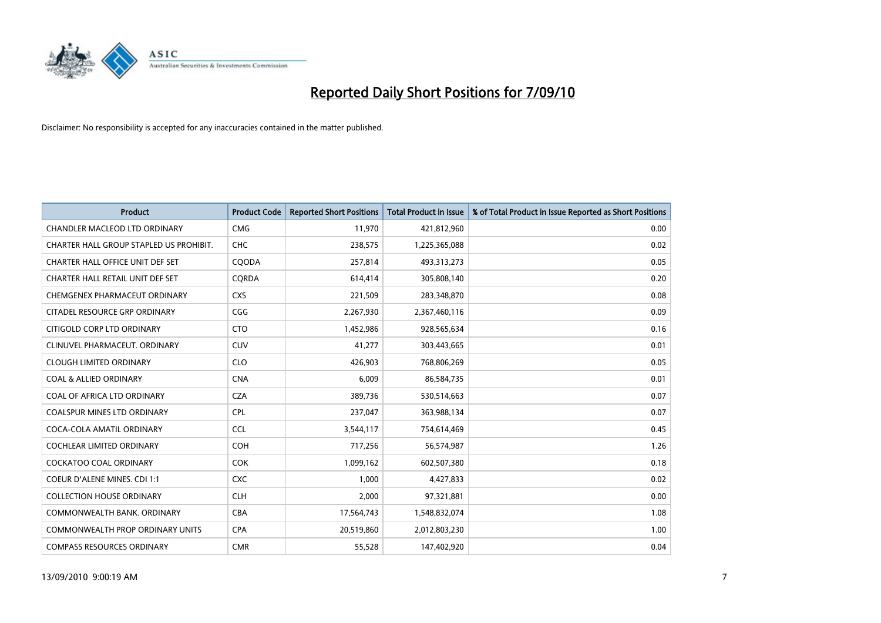

| <b>Product</b>                          | <b>Product Code</b> | <b>Reported Short Positions</b> | <b>Total Product in Issue</b> | % of Total Product in Issue Reported as Short Positions |
|-----------------------------------------|---------------------|---------------------------------|-------------------------------|---------------------------------------------------------|
| <b>CHANDLER MACLEOD LTD ORDINARY</b>    | <b>CMG</b>          | 11,970                          | 421,812,960                   | 0.00                                                    |
| CHARTER HALL GROUP STAPLED US PROHIBIT. | CHC                 | 238,575                         | 1,225,365,088                 | 0.02                                                    |
| CHARTER HALL OFFICE UNIT DEF SET        | COODA               | 257,814                         | 493,313,273                   | 0.05                                                    |
| CHARTER HALL RETAIL UNIT DEF SET        | CORDA               | 614,414                         | 305,808,140                   | 0.20                                                    |
| CHEMGENEX PHARMACEUT ORDINARY           | <b>CXS</b>          | 221,509                         | 283,348,870                   | 0.08                                                    |
| CITADEL RESOURCE GRP ORDINARY           | CGG                 | 2,267,930                       | 2,367,460,116                 | 0.09                                                    |
| CITIGOLD CORP LTD ORDINARY              | <b>CTO</b>          | 1,452,986                       | 928,565,634                   | 0.16                                                    |
| CLINUVEL PHARMACEUT. ORDINARY           | <b>CUV</b>          | 41,277                          | 303,443,665                   | 0.01                                                    |
| <b>CLOUGH LIMITED ORDINARY</b>          | <b>CLO</b>          | 426,903                         | 768,806,269                   | 0.05                                                    |
| <b>COAL &amp; ALLIED ORDINARY</b>       | <b>CNA</b>          | 6,009                           | 86,584,735                    | 0.01                                                    |
| COAL OF AFRICA LTD ORDINARY             | <b>CZA</b>          | 389,736                         | 530,514,663                   | 0.07                                                    |
| COALSPUR MINES LTD ORDINARY             | <b>CPL</b>          | 237,047                         | 363,988,134                   | 0.07                                                    |
| COCA-COLA AMATIL ORDINARY               | <b>CCL</b>          | 3,544,117                       | 754,614,469                   | 0.45                                                    |
| <b>COCHLEAR LIMITED ORDINARY</b>        | <b>COH</b>          | 717,256                         | 56,574,987                    | 1.26                                                    |
| <b>COCKATOO COAL ORDINARY</b>           | <b>COK</b>          | 1,099,162                       | 602,507,380                   | 0.18                                                    |
| <b>COEUR D'ALENE MINES. CDI 1:1</b>     | <b>CXC</b>          | 1.000                           | 4,427,833                     | 0.02                                                    |
| <b>COLLECTION HOUSE ORDINARY</b>        | <b>CLH</b>          | 2,000                           | 97,321,881                    | 0.00                                                    |
| COMMONWEALTH BANK, ORDINARY             | <b>CBA</b>          | 17,564,743                      | 1,548,832,074                 | 1.08                                                    |
| <b>COMMONWEALTH PROP ORDINARY UNITS</b> | <b>CPA</b>          | 20,519,860                      | 2,012,803,230                 | 1.00                                                    |
| <b>COMPASS RESOURCES ORDINARY</b>       | <b>CMR</b>          | 55,528                          | 147,402,920                   | 0.04                                                    |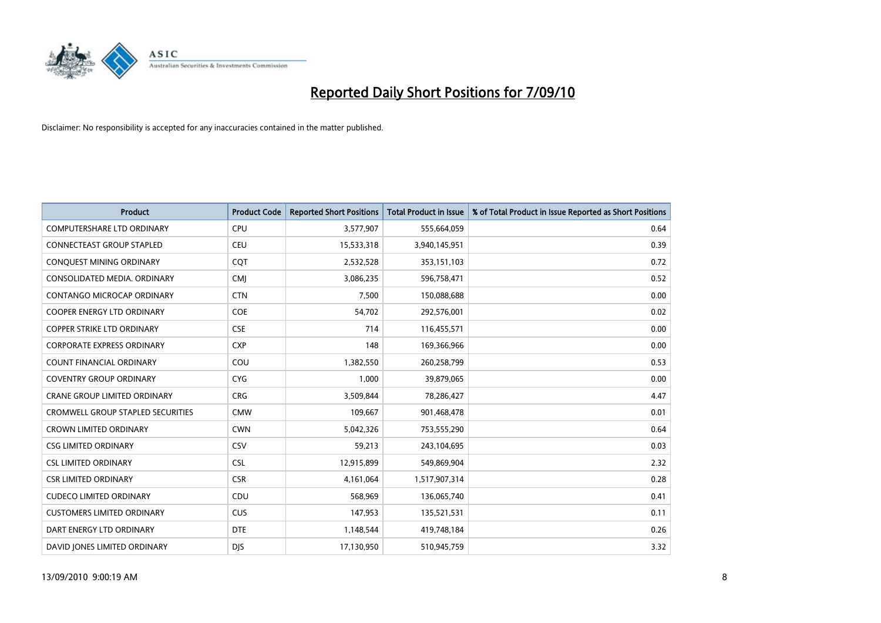

| <b>Product</b>                      | <b>Product Code</b> | <b>Reported Short Positions</b> | <b>Total Product in Issue</b> | % of Total Product in Issue Reported as Short Positions |
|-------------------------------------|---------------------|---------------------------------|-------------------------------|---------------------------------------------------------|
| <b>COMPUTERSHARE LTD ORDINARY</b>   | <b>CPU</b>          | 3,577,907                       | 555,664,059                   | 0.64                                                    |
| <b>CONNECTEAST GROUP STAPLED</b>    | CEU                 | 15,533,318                      | 3,940,145,951                 | 0.39                                                    |
| CONQUEST MINING ORDINARY            | CQT                 | 2,532,528                       | 353,151,103                   | 0.72                                                    |
| CONSOLIDATED MEDIA, ORDINARY        | <b>CMJ</b>          | 3,086,235                       | 596,758,471                   | 0.52                                                    |
| <b>CONTANGO MICROCAP ORDINARY</b>   | <b>CTN</b>          | 7,500                           | 150,088,688                   | 0.00                                                    |
| <b>COOPER ENERGY LTD ORDINARY</b>   | <b>COE</b>          | 54,702                          | 292,576,001                   | 0.02                                                    |
| <b>COPPER STRIKE LTD ORDINARY</b>   | <b>CSE</b>          | 714                             | 116,455,571                   | 0.00                                                    |
| <b>CORPORATE EXPRESS ORDINARY</b>   | <b>CXP</b>          | 148                             | 169,366,966                   | 0.00                                                    |
| COUNT FINANCIAL ORDINARY            | COU                 | 1,382,550                       | 260,258,799                   | 0.53                                                    |
| <b>COVENTRY GROUP ORDINARY</b>      | <b>CYG</b>          | 1,000                           | 39,879,065                    | 0.00                                                    |
| <b>CRANE GROUP LIMITED ORDINARY</b> | <b>CRG</b>          | 3,509,844                       | 78,286,427                    | 4.47                                                    |
| CROMWELL GROUP STAPLED SECURITIES   | <b>CMW</b>          | 109,667                         | 901,468,478                   | 0.01                                                    |
| <b>CROWN LIMITED ORDINARY</b>       | <b>CWN</b>          | 5,042,326                       | 753,555,290                   | 0.64                                                    |
| <b>CSG LIMITED ORDINARY</b>         | CSV                 | 59,213                          | 243,104,695                   | 0.03                                                    |
| <b>CSL LIMITED ORDINARY</b>         | <b>CSL</b>          | 12,915,899                      | 549,869,904                   | 2.32                                                    |
| <b>CSR LIMITED ORDINARY</b>         | <b>CSR</b>          | 4,161,064                       | 1,517,907,314                 | 0.28                                                    |
| <b>CUDECO LIMITED ORDINARY</b>      | CDU                 | 568,969                         | 136,065,740                   | 0.41                                                    |
| <b>CUSTOMERS LIMITED ORDINARY</b>   | <b>CUS</b>          | 147,953                         | 135,521,531                   | 0.11                                                    |
| DART ENERGY LTD ORDINARY            | <b>DTE</b>          | 1,148,544                       | 419,748,184                   | 0.26                                                    |
| DAVID JONES LIMITED ORDINARY        | <b>DJS</b>          | 17,130,950                      | 510,945,759                   | 3.32                                                    |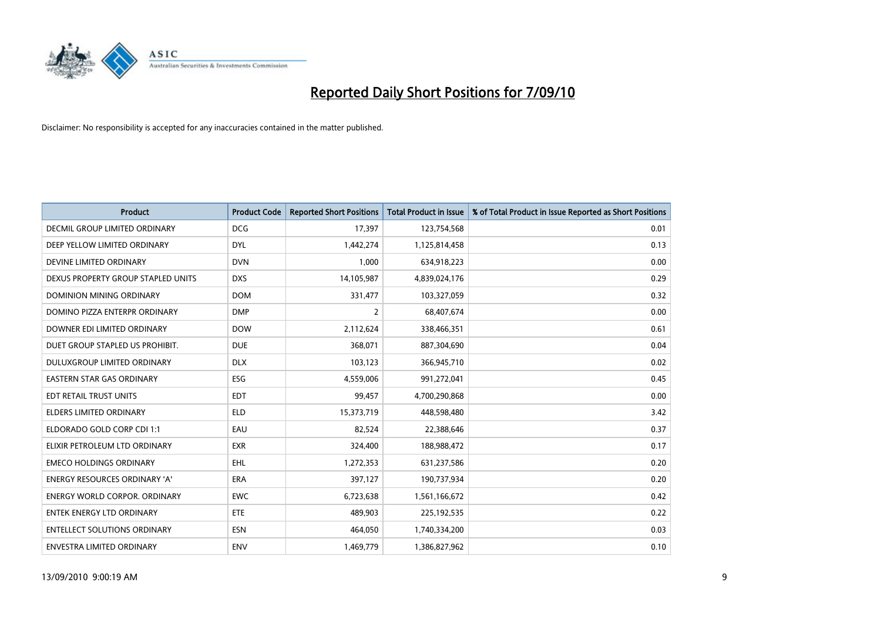

| <b>Product</b>                       | <b>Product Code</b> | <b>Reported Short Positions</b> | <b>Total Product in Issue</b> | % of Total Product in Issue Reported as Short Positions |
|--------------------------------------|---------------------|---------------------------------|-------------------------------|---------------------------------------------------------|
| <b>DECMIL GROUP LIMITED ORDINARY</b> | <b>DCG</b>          | 17,397                          | 123,754,568                   | 0.01                                                    |
| DEEP YELLOW LIMITED ORDINARY         | <b>DYL</b>          | 1,442,274                       | 1,125,814,458                 | 0.13                                                    |
| DEVINE LIMITED ORDINARY              | <b>DVN</b>          | 1,000                           | 634,918,223                   | 0.00                                                    |
| DEXUS PROPERTY GROUP STAPLED UNITS   | <b>DXS</b>          | 14,105,987                      | 4,839,024,176                 | 0.29                                                    |
| DOMINION MINING ORDINARY             | <b>DOM</b>          | 331,477                         | 103,327,059                   | 0.32                                                    |
| DOMINO PIZZA ENTERPR ORDINARY        | <b>DMP</b>          | $\overline{2}$                  | 68,407,674                    | 0.00                                                    |
| DOWNER EDI LIMITED ORDINARY          | <b>DOW</b>          | 2,112,624                       | 338,466,351                   | 0.61                                                    |
| DUET GROUP STAPLED US PROHIBIT.      | <b>DUE</b>          | 368,071                         | 887,304,690                   | 0.04                                                    |
| DULUXGROUP LIMITED ORDINARY          | <b>DLX</b>          | 103,123                         | 366,945,710                   | 0.02                                                    |
| <b>EASTERN STAR GAS ORDINARY</b>     | <b>ESG</b>          | 4,559,006                       | 991,272,041                   | 0.45                                                    |
| EDT RETAIL TRUST UNITS               | <b>EDT</b>          | 99,457                          | 4,700,290,868                 | 0.00                                                    |
| <b>ELDERS LIMITED ORDINARY</b>       | <b>ELD</b>          | 15,373,719                      | 448,598,480                   | 3.42                                                    |
| ELDORADO GOLD CORP CDI 1:1           | EAU                 | 82,524                          | 22,388,646                    | 0.37                                                    |
| ELIXIR PETROLEUM LTD ORDINARY        | <b>EXR</b>          | 324,400                         | 188,988,472                   | 0.17                                                    |
| <b>EMECO HOLDINGS ORDINARY</b>       | EHL                 | 1,272,353                       | 631,237,586                   | 0.20                                                    |
| ENERGY RESOURCES ORDINARY 'A'        | ERA                 | 397,127                         | 190,737,934                   | 0.20                                                    |
| <b>ENERGY WORLD CORPOR, ORDINARY</b> | <b>EWC</b>          | 6,723,638                       | 1,561,166,672                 | 0.42                                                    |
| <b>ENTEK ENERGY LTD ORDINARY</b>     | <b>ETE</b>          | 489,903                         | 225, 192, 535                 | 0.22                                                    |
| <b>ENTELLECT SOLUTIONS ORDINARY</b>  | <b>ESN</b>          | 464.050                         | 1,740,334,200                 | 0.03                                                    |
| <b>ENVESTRA LIMITED ORDINARY</b>     | <b>ENV</b>          | 1.469.779                       | 1,386,827,962                 | 0.10                                                    |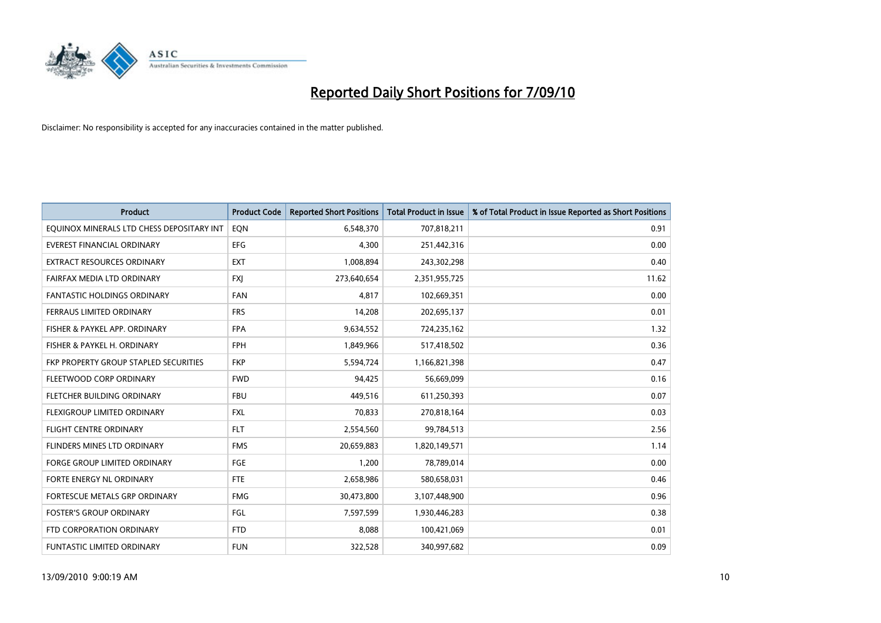

| <b>Product</b>                            | <b>Product Code</b> | <b>Reported Short Positions</b> | <b>Total Product in Issue</b> | % of Total Product in Issue Reported as Short Positions |
|-------------------------------------------|---------------------|---------------------------------|-------------------------------|---------------------------------------------------------|
| EQUINOX MINERALS LTD CHESS DEPOSITARY INT | EON                 | 6,548,370                       | 707,818,211                   | 0.91                                                    |
| EVEREST FINANCIAL ORDINARY                | <b>EFG</b>          | 4,300                           | 251,442,316                   | 0.00                                                    |
| EXTRACT RESOURCES ORDINARY                | <b>EXT</b>          | 1,008,894                       | 243,302,298                   | 0.40                                                    |
| FAIRFAX MEDIA LTD ORDINARY                | <b>FXI</b>          | 273,640,654                     | 2,351,955,725                 | 11.62                                                   |
| <b>FANTASTIC HOLDINGS ORDINARY</b>        | <b>FAN</b>          | 4,817                           | 102,669,351                   | 0.00                                                    |
| FERRAUS LIMITED ORDINARY                  | <b>FRS</b>          | 14,208                          | 202,695,137                   | 0.01                                                    |
| FISHER & PAYKEL APP. ORDINARY             | <b>FPA</b>          | 9,634,552                       | 724,235,162                   | 1.32                                                    |
| FISHER & PAYKEL H. ORDINARY               | <b>FPH</b>          | 1,849,966                       | 517,418,502                   | 0.36                                                    |
| FKP PROPERTY GROUP STAPLED SECURITIES     | <b>FKP</b>          | 5,594,724                       | 1,166,821,398                 | 0.47                                                    |
| FLEETWOOD CORP ORDINARY                   | <b>FWD</b>          | 94,425                          | 56,669,099                    | 0.16                                                    |
| FLETCHER BUILDING ORDINARY                | <b>FBU</b>          | 449,516                         | 611,250,393                   | 0.07                                                    |
| FLEXIGROUP LIMITED ORDINARY               | <b>FXL</b>          | 70.833                          | 270,818,164                   | 0.03                                                    |
| <b>FLIGHT CENTRE ORDINARY</b>             | <b>FLT</b>          | 2,554,560                       | 99,784,513                    | 2.56                                                    |
| FLINDERS MINES LTD ORDINARY               | <b>FMS</b>          | 20,659,883                      | 1,820,149,571                 | 1.14                                                    |
| <b>FORGE GROUP LIMITED ORDINARY</b>       | <b>FGE</b>          | 1,200                           | 78,789,014                    | 0.00                                                    |
| FORTE ENERGY NL ORDINARY                  | <b>FTE</b>          | 2,658,986                       | 580,658,031                   | 0.46                                                    |
| FORTESCUE METALS GRP ORDINARY             | <b>FMG</b>          | 30,473,800                      | 3,107,448,900                 | 0.96                                                    |
| <b>FOSTER'S GROUP ORDINARY</b>            | FGL                 | 7,597,599                       | 1,930,446,283                 | 0.38                                                    |
| FTD CORPORATION ORDINARY                  | <b>FTD</b>          | 8,088                           | 100,421,069                   | 0.01                                                    |
| <b>FUNTASTIC LIMITED ORDINARY</b>         | <b>FUN</b>          | 322,528                         | 340,997,682                   | 0.09                                                    |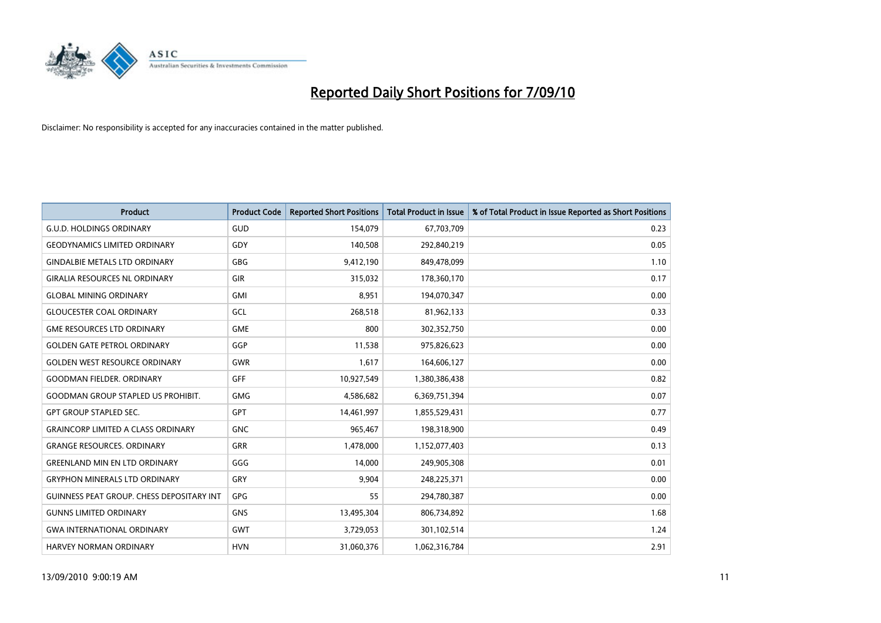

| <b>Product</b>                                   | <b>Product Code</b> | <b>Reported Short Positions</b> | Total Product in Issue | % of Total Product in Issue Reported as Short Positions |
|--------------------------------------------------|---------------------|---------------------------------|------------------------|---------------------------------------------------------|
| <b>G.U.D. HOLDINGS ORDINARY</b>                  | <b>GUD</b>          | 154,079                         | 67,703,709             | 0.23                                                    |
| <b>GEODYNAMICS LIMITED ORDINARY</b>              | GDY                 | 140,508                         | 292,840,219            | 0.05                                                    |
| <b>GINDALBIE METALS LTD ORDINARY</b>             | <b>GBG</b>          | 9,412,190                       | 849,478,099            | 1.10                                                    |
| <b>GIRALIA RESOURCES NL ORDINARY</b>             | <b>GIR</b>          | 315,032                         | 178,360,170            | 0.17                                                    |
| <b>GLOBAL MINING ORDINARY</b>                    | <b>GMI</b>          | 8,951                           | 194,070,347            | 0.00                                                    |
| <b>GLOUCESTER COAL ORDINARY</b>                  | GCL                 | 268,518                         | 81,962,133             | 0.33                                                    |
| <b>GME RESOURCES LTD ORDINARY</b>                | <b>GME</b>          | 800                             | 302,352,750            | 0.00                                                    |
| <b>GOLDEN GATE PETROL ORDINARY</b>               | GGP                 | 11,538                          | 975,826,623            | 0.00                                                    |
| <b>GOLDEN WEST RESOURCE ORDINARY</b>             | <b>GWR</b>          | 1,617                           | 164,606,127            | 0.00                                                    |
| <b>GOODMAN FIELDER, ORDINARY</b>                 | <b>GFF</b>          | 10,927,549                      | 1,380,386,438          | 0.82                                                    |
| <b>GOODMAN GROUP STAPLED US PROHIBIT.</b>        | <b>GMG</b>          | 4,586,682                       | 6,369,751,394          | 0.07                                                    |
| <b>GPT GROUP STAPLED SEC.</b>                    | <b>GPT</b>          | 14,461,997                      | 1,855,529,431          | 0.77                                                    |
| <b>GRAINCORP LIMITED A CLASS ORDINARY</b>        | <b>GNC</b>          | 965.467                         | 198,318,900            | 0.49                                                    |
| <b>GRANGE RESOURCES, ORDINARY</b>                | <b>GRR</b>          | 1,478,000                       | 1,152,077,403          | 0.13                                                    |
| <b>GREENLAND MIN EN LTD ORDINARY</b>             | GGG                 | 14,000                          | 249,905,308            | 0.01                                                    |
| <b>GRYPHON MINERALS LTD ORDINARY</b>             | GRY                 | 9.904                           | 248,225,371            | 0.00                                                    |
| <b>GUINNESS PEAT GROUP. CHESS DEPOSITARY INT</b> | GPG                 | 55                              | 294,780,387            | 0.00                                                    |
| <b>GUNNS LIMITED ORDINARY</b>                    | <b>GNS</b>          | 13,495,304                      | 806,734,892            | 1.68                                                    |
| <b>GWA INTERNATIONAL ORDINARY</b>                | <b>GWT</b>          | 3,729,053                       | 301,102,514            | 1.24                                                    |
| <b>HARVEY NORMAN ORDINARY</b>                    | <b>HVN</b>          | 31.060.376                      | 1,062,316,784          | 2.91                                                    |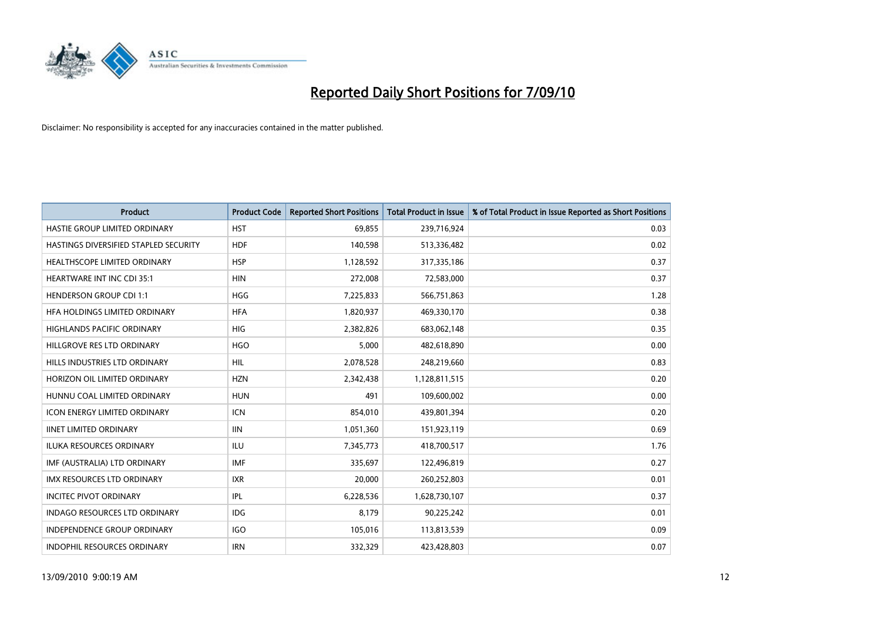

| <b>Product</b>                        | <b>Product Code</b> | <b>Reported Short Positions</b> | <b>Total Product in Issue</b> | % of Total Product in Issue Reported as Short Positions |
|---------------------------------------|---------------------|---------------------------------|-------------------------------|---------------------------------------------------------|
| HASTIE GROUP LIMITED ORDINARY         | <b>HST</b>          | 69,855                          | 239,716,924                   | 0.03                                                    |
| HASTINGS DIVERSIFIED STAPLED SECURITY | <b>HDF</b>          | 140,598                         | 513,336,482                   | 0.02                                                    |
| <b>HEALTHSCOPE LIMITED ORDINARY</b>   | <b>HSP</b>          | 1,128,592                       | 317,335,186                   | 0.37                                                    |
| HEARTWARE INT INC CDI 35:1            | <b>HIN</b>          | 272,008                         | 72,583,000                    | 0.37                                                    |
| <b>HENDERSON GROUP CDI 1:1</b>        | <b>HGG</b>          | 7,225,833                       | 566,751,863                   | 1.28                                                    |
| HFA HOLDINGS LIMITED ORDINARY         | <b>HFA</b>          | 1,820,937                       | 469,330,170                   | 0.38                                                    |
| <b>HIGHLANDS PACIFIC ORDINARY</b>     | <b>HIG</b>          | 2,382,826                       | 683,062,148                   | 0.35                                                    |
| HILLGROVE RES LTD ORDINARY            | <b>HGO</b>          | 5,000                           | 482,618,890                   | 0.00                                                    |
| HILLS INDUSTRIES LTD ORDINARY         | HIL                 | 2,078,528                       | 248,219,660                   | 0.83                                                    |
| HORIZON OIL LIMITED ORDINARY          | <b>HZN</b>          | 2,342,438                       | 1,128,811,515                 | 0.20                                                    |
| HUNNU COAL LIMITED ORDINARY           | <b>HUN</b>          | 491                             | 109,600,002                   | 0.00                                                    |
| <b>ICON ENERGY LIMITED ORDINARY</b>   | <b>ICN</b>          | 854,010                         | 439,801,394                   | 0.20                                                    |
| <b>IINET LIMITED ORDINARY</b>         | <b>IIN</b>          | 1,051,360                       | 151,923,119                   | 0.69                                                    |
| <b>ILUKA RESOURCES ORDINARY</b>       | ILU                 | 7,345,773                       | 418,700,517                   | 1.76                                                    |
| IMF (AUSTRALIA) LTD ORDINARY          | <b>IMF</b>          | 335,697                         | 122,496,819                   | 0.27                                                    |
| IMX RESOURCES LTD ORDINARY            | <b>IXR</b>          | 20,000                          | 260,252,803                   | 0.01                                                    |
| <b>INCITEC PIVOT ORDINARY</b>         | <b>IPL</b>          | 6,228,536                       | 1,628,730,107                 | 0.37                                                    |
| <b>INDAGO RESOURCES LTD ORDINARY</b>  | IDG                 | 8,179                           | 90,225,242                    | 0.01                                                    |
| <b>INDEPENDENCE GROUP ORDINARY</b>    | <b>IGO</b>          | 105,016                         | 113,813,539                   | 0.09                                                    |
| <b>INDOPHIL RESOURCES ORDINARY</b>    | <b>IRN</b>          | 332.329                         | 423.428.803                   | 0.07                                                    |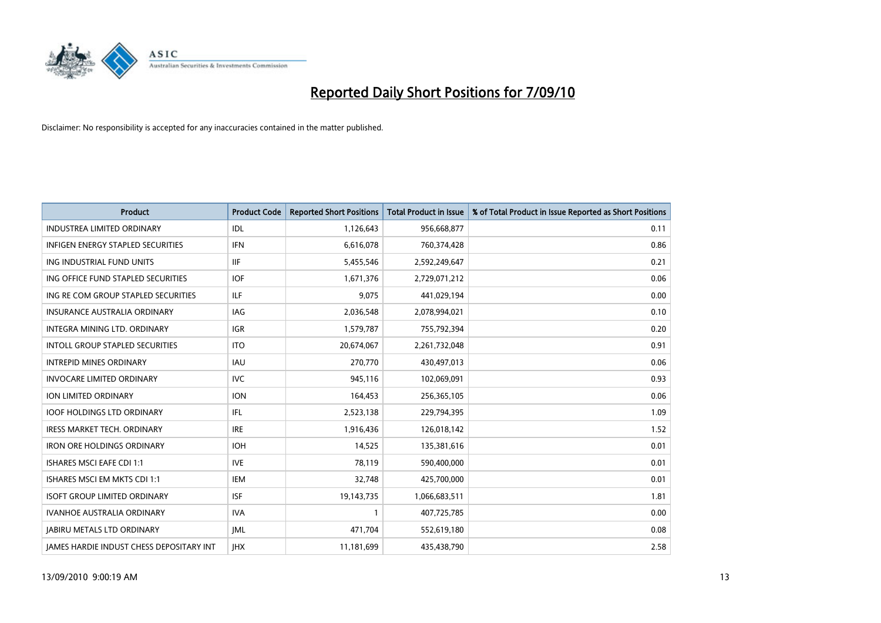

| <b>Product</b>                                  | <b>Product Code</b> | <b>Reported Short Positions</b> | Total Product in Issue | % of Total Product in Issue Reported as Short Positions |
|-------------------------------------------------|---------------------|---------------------------------|------------------------|---------------------------------------------------------|
| <b>INDUSTREA LIMITED ORDINARY</b>               | IDL                 | 1,126,643                       | 956,668,877            | 0.11                                                    |
| INFIGEN ENERGY STAPLED SECURITIES               | <b>IFN</b>          | 6,616,078                       | 760,374,428            | 0.86                                                    |
| ING INDUSTRIAL FUND UNITS                       | <b>IIF</b>          | 5,455,546                       | 2,592,249,647          | 0.21                                                    |
| ING OFFICE FUND STAPLED SECURITIES              | <b>IOF</b>          | 1,671,376                       | 2,729,071,212          | 0.06                                                    |
| ING RE COM GROUP STAPLED SECURITIES             | <b>ILF</b>          | 9,075                           | 441,029,194            | 0.00                                                    |
| <b>INSURANCE AUSTRALIA ORDINARY</b>             | IAG                 | 2,036,548                       | 2,078,994,021          | 0.10                                                    |
| INTEGRA MINING LTD, ORDINARY                    | <b>IGR</b>          | 1,579,787                       | 755,792,394            | 0.20                                                    |
| <b>INTOLL GROUP STAPLED SECURITIES</b>          | <b>ITO</b>          | 20,674,067                      | 2,261,732,048          | 0.91                                                    |
| <b>INTREPID MINES ORDINARY</b>                  | IAU                 | 270,770                         | 430,497,013            | 0.06                                                    |
| <b>INVOCARE LIMITED ORDINARY</b>                | <b>IVC</b>          | 945,116                         | 102,069,091            | 0.93                                                    |
| <b>ION LIMITED ORDINARY</b>                     | <b>ION</b>          | 164,453                         | 256,365,105            | 0.06                                                    |
| <b>IOOF HOLDINGS LTD ORDINARY</b>               | IFL.                | 2,523,138                       | 229,794,395            | 1.09                                                    |
| <b>IRESS MARKET TECH. ORDINARY</b>              | <b>IRE</b>          | 1,916,436                       | 126,018,142            | 1.52                                                    |
| <b>IRON ORE HOLDINGS ORDINARY</b>               | <b>IOH</b>          | 14,525                          | 135,381,616            | 0.01                                                    |
| <b>ISHARES MSCI EAFE CDI 1:1</b>                | <b>IVE</b>          | 78,119                          | 590,400,000            | 0.01                                                    |
| ISHARES MSCI EM MKTS CDI 1:1                    | <b>IEM</b>          | 32,748                          | 425,700,000            | 0.01                                                    |
| <b>ISOFT GROUP LIMITED ORDINARY</b>             | <b>ISF</b>          | 19,143,735                      | 1,066,683,511          | 1.81                                                    |
| IVANHOE AUSTRALIA ORDINARY                      | <b>IVA</b>          |                                 | 407,725,785            | 0.00                                                    |
| <b>JABIRU METALS LTD ORDINARY</b>               | <b>IML</b>          | 471,704                         | 552,619,180            | 0.08                                                    |
| <b>IAMES HARDIE INDUST CHESS DEPOSITARY INT</b> | <b>IHX</b>          | 11,181,699                      | 435,438,790            | 2.58                                                    |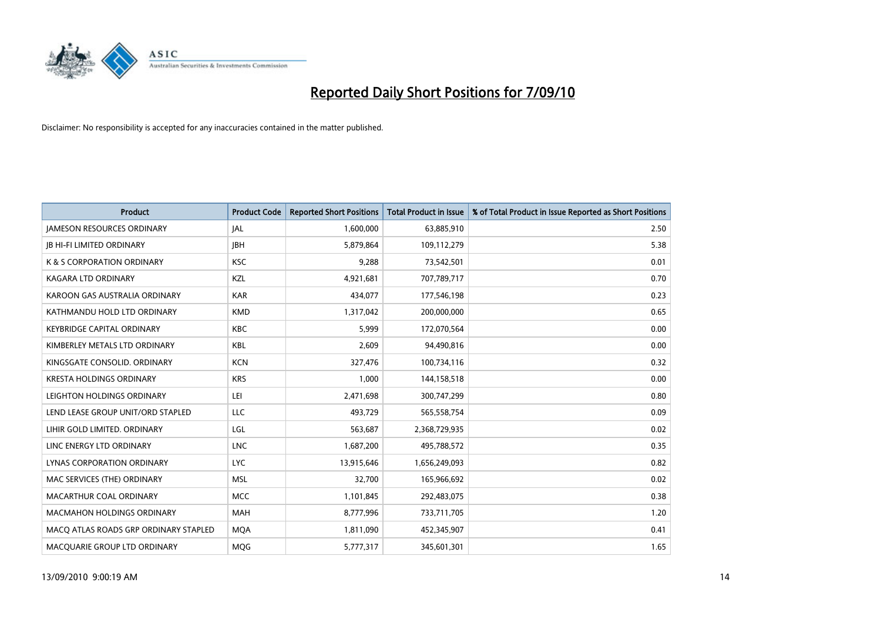

| <b>Product</b>                        | <b>Product Code</b> | <b>Reported Short Positions</b> | <b>Total Product in Issue</b> | % of Total Product in Issue Reported as Short Positions |
|---------------------------------------|---------------------|---------------------------------|-------------------------------|---------------------------------------------------------|
| <b>JAMESON RESOURCES ORDINARY</b>     | JAL                 | 1,600,000                       | 63,885,910                    | 2.50                                                    |
| <b>IB HI-FI LIMITED ORDINARY</b>      | <b>JBH</b>          | 5,879,864                       | 109,112,279                   | 5.38                                                    |
| K & S CORPORATION ORDINARY            | <b>KSC</b>          | 9,288                           | 73,542,501                    | 0.01                                                    |
| KAGARA LTD ORDINARY                   | KZL                 | 4,921,681                       | 707,789,717                   | 0.70                                                    |
| KAROON GAS AUSTRALIA ORDINARY         | <b>KAR</b>          | 434,077                         | 177,546,198                   | 0.23                                                    |
| KATHMANDU HOLD LTD ORDINARY           | <b>KMD</b>          | 1,317,042                       | 200,000,000                   | 0.65                                                    |
| <b>KEYBRIDGE CAPITAL ORDINARY</b>     | <b>KBC</b>          | 5,999                           | 172,070,564                   | 0.00                                                    |
| KIMBERLEY METALS LTD ORDINARY         | <b>KBL</b>          | 2,609                           | 94,490,816                    | 0.00                                                    |
| KINGSGATE CONSOLID. ORDINARY          | <b>KCN</b>          | 327,476                         | 100,734,116                   | 0.32                                                    |
| <b>KRESTA HOLDINGS ORDINARY</b>       | <b>KRS</b>          | 1,000                           | 144,158,518                   | 0.00                                                    |
| LEIGHTON HOLDINGS ORDINARY            | LEI                 | 2,471,698                       | 300,747,299                   | 0.80                                                    |
| LEND LEASE GROUP UNIT/ORD STAPLED     | LLC                 | 493,729                         | 565,558,754                   | 0.09                                                    |
| LIHIR GOLD LIMITED. ORDINARY          | LGL                 | 563,687                         | 2,368,729,935                 | 0.02                                                    |
| LINC ENERGY LTD ORDINARY              | <b>LNC</b>          | 1,687,200                       | 495,788,572                   | 0.35                                                    |
| LYNAS CORPORATION ORDINARY            | <b>LYC</b>          | 13,915,646                      | 1,656,249,093                 | 0.82                                                    |
| MAC SERVICES (THE) ORDINARY           | <b>MSL</b>          | 32,700                          | 165,966,692                   | 0.02                                                    |
| MACARTHUR COAL ORDINARY               | <b>MCC</b>          | 1,101,845                       | 292,483,075                   | 0.38                                                    |
| <b>MACMAHON HOLDINGS ORDINARY</b>     | <b>MAH</b>          | 8,777,996                       | 733,711,705                   | 1.20                                                    |
| MACO ATLAS ROADS GRP ORDINARY STAPLED | <b>MOA</b>          | 1,811,090                       | 452,345,907                   | 0.41                                                    |
| MACQUARIE GROUP LTD ORDINARY          | MQG                 | 5,777,317                       | 345,601,301                   | 1.65                                                    |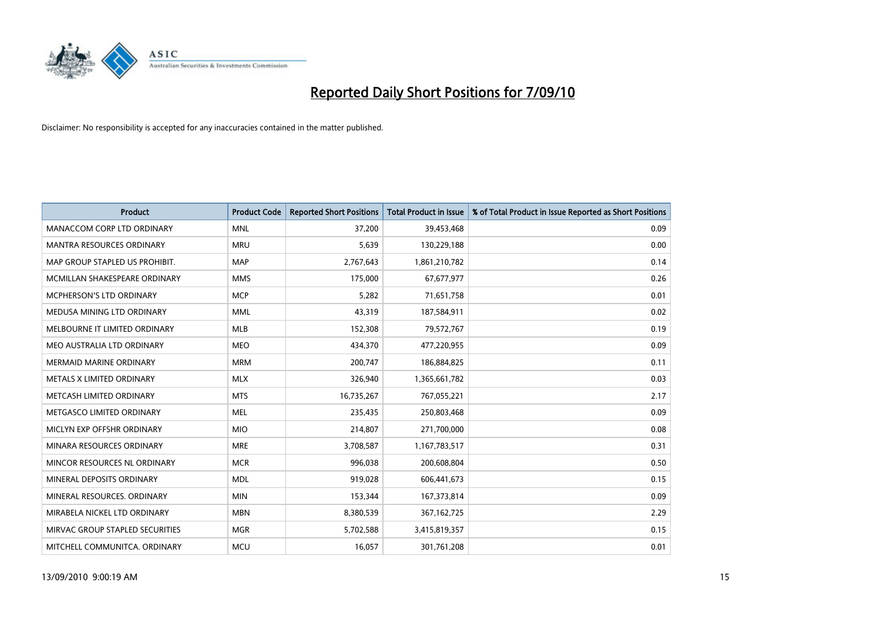

| <b>Product</b>                  | <b>Product Code</b> | <b>Reported Short Positions</b> | <b>Total Product in Issue</b> | % of Total Product in Issue Reported as Short Positions |
|---------------------------------|---------------------|---------------------------------|-------------------------------|---------------------------------------------------------|
| MANACCOM CORP LTD ORDINARY      | <b>MNL</b>          | 37.200                          | 39,453,468                    | 0.09                                                    |
| MANTRA RESOURCES ORDINARY       | <b>MRU</b>          | 5,639                           | 130,229,188                   | 0.00                                                    |
| MAP GROUP STAPLED US PROHIBIT.  | <b>MAP</b>          | 2,767,643                       | 1,861,210,782                 | 0.14                                                    |
| MCMILLAN SHAKESPEARE ORDINARY   | <b>MMS</b>          | 175,000                         | 67,677,977                    | 0.26                                                    |
| <b>MCPHERSON'S LTD ORDINARY</b> | <b>MCP</b>          | 5,282                           | 71,651,758                    | 0.01                                                    |
| MEDUSA MINING LTD ORDINARY      | <b>MML</b>          | 43,319                          | 187,584,911                   | 0.02                                                    |
| MELBOURNE IT LIMITED ORDINARY   | <b>MLB</b>          | 152,308                         | 79,572,767                    | 0.19                                                    |
| MEO AUSTRALIA LTD ORDINARY      | <b>MEO</b>          | 434,370                         | 477,220,955                   | 0.09                                                    |
| <b>MERMAID MARINE ORDINARY</b>  | <b>MRM</b>          | 200,747                         | 186,884,825                   | 0.11                                                    |
| METALS X LIMITED ORDINARY       | <b>MLX</b>          | 326,940                         | 1,365,661,782                 | 0.03                                                    |
| METCASH LIMITED ORDINARY        | <b>MTS</b>          | 16,735,267                      | 767,055,221                   | 2.17                                                    |
| METGASCO LIMITED ORDINARY       | <b>MEL</b>          | 235,435                         | 250,803,468                   | 0.09                                                    |
| MICLYN EXP OFFSHR ORDINARY      | <b>MIO</b>          | 214,807                         | 271,700,000                   | 0.08                                                    |
| MINARA RESOURCES ORDINARY       | <b>MRE</b>          | 3,708,587                       | 1,167,783,517                 | 0.31                                                    |
| MINCOR RESOURCES NL ORDINARY    | <b>MCR</b>          | 996,038                         | 200,608,804                   | 0.50                                                    |
| MINERAL DEPOSITS ORDINARY       | <b>MDL</b>          | 919,028                         | 606,441,673                   | 0.15                                                    |
| MINERAL RESOURCES. ORDINARY     | <b>MIN</b>          | 153,344                         | 167, 373, 814                 | 0.09                                                    |
| MIRABELA NICKEL LTD ORDINARY    | <b>MBN</b>          | 8,380,539                       | 367, 162, 725                 | 2.29                                                    |
| MIRVAC GROUP STAPLED SECURITIES | <b>MGR</b>          | 5,702,588                       | 3,415,819,357                 | 0.15                                                    |
| MITCHELL COMMUNITCA. ORDINARY   | <b>MCU</b>          | 16,057                          | 301,761,208                   | 0.01                                                    |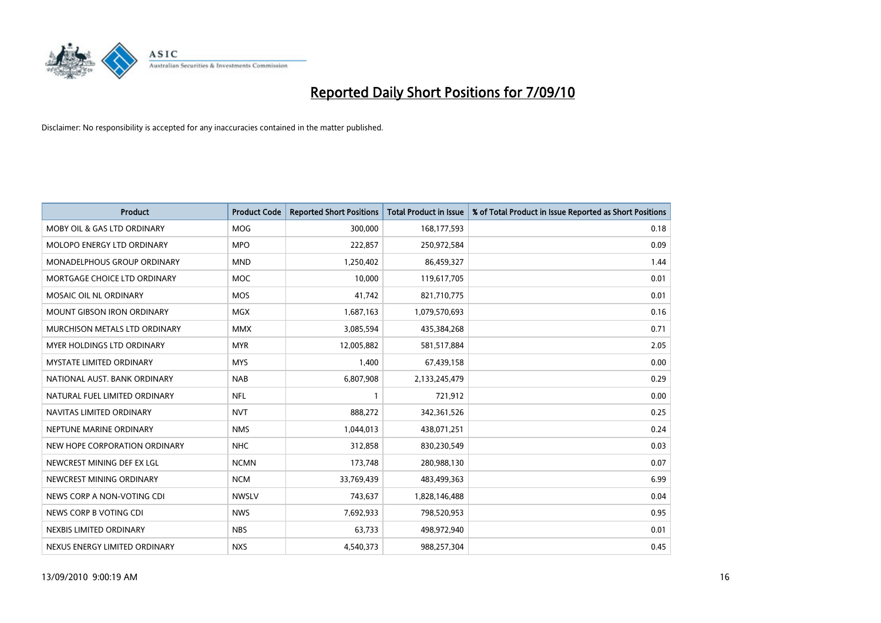

| <b>Product</b>                     | <b>Product Code</b> | <b>Reported Short Positions</b> | Total Product in Issue | % of Total Product in Issue Reported as Short Positions |
|------------------------------------|---------------------|---------------------------------|------------------------|---------------------------------------------------------|
| MOBY OIL & GAS LTD ORDINARY        | <b>MOG</b>          | 300,000                         | 168,177,593            | 0.18                                                    |
| MOLOPO ENERGY LTD ORDINARY         | <b>MPO</b>          | 222,857                         | 250,972,584            | 0.09                                                    |
| <b>MONADELPHOUS GROUP ORDINARY</b> | <b>MND</b>          | 1,250,402                       | 86,459,327             | 1.44                                                    |
| MORTGAGE CHOICE LTD ORDINARY       | <b>MOC</b>          | 10,000                          | 119,617,705            | 0.01                                                    |
| MOSAIC OIL NL ORDINARY             | <b>MOS</b>          | 41.742                          | 821,710,775            | 0.01                                                    |
| <b>MOUNT GIBSON IRON ORDINARY</b>  | <b>MGX</b>          | 1,687,163                       | 1,079,570,693          | 0.16                                                    |
| MURCHISON METALS LTD ORDINARY      | <b>MMX</b>          | 3,085,594                       | 435,384,268            | 0.71                                                    |
| <b>MYER HOLDINGS LTD ORDINARY</b>  | <b>MYR</b>          | 12,005,882                      | 581,517,884            | 2.05                                                    |
| <b>MYSTATE LIMITED ORDINARY</b>    | <b>MYS</b>          | 1,400                           | 67,439,158             | 0.00                                                    |
| NATIONAL AUST, BANK ORDINARY       | <b>NAB</b>          | 6,807,908                       | 2,133,245,479          | 0.29                                                    |
| NATURAL FUEL LIMITED ORDINARY      | <b>NFL</b>          |                                 | 721,912                | 0.00                                                    |
| NAVITAS LIMITED ORDINARY           | <b>NVT</b>          | 888,272                         | 342,361,526            | 0.25                                                    |
| NEPTUNE MARINE ORDINARY            | <b>NMS</b>          | 1,044,013                       | 438,071,251            | 0.24                                                    |
| NEW HOPE CORPORATION ORDINARY      | <b>NHC</b>          | 312.858                         | 830,230,549            | 0.03                                                    |
| NEWCREST MINING DEF EX LGL         | <b>NCMN</b>         | 173,748                         | 280,988,130            | 0.07                                                    |
| NEWCREST MINING ORDINARY           | <b>NCM</b>          | 33,769,439                      | 483,499,363            | 6.99                                                    |
| NEWS CORP A NON-VOTING CDI         | <b>NWSLV</b>        | 743,637                         | 1,828,146,488          | 0.04                                                    |
| NEWS CORP B VOTING CDI             | <b>NWS</b>          | 7,692,933                       | 798,520,953            | 0.95                                                    |
| NEXBIS LIMITED ORDINARY            | <b>NBS</b>          | 63,733                          | 498,972,940            | 0.01                                                    |
| NEXUS ENERGY LIMITED ORDINARY      | <b>NXS</b>          | 4,540,373                       | 988,257,304            | 0.45                                                    |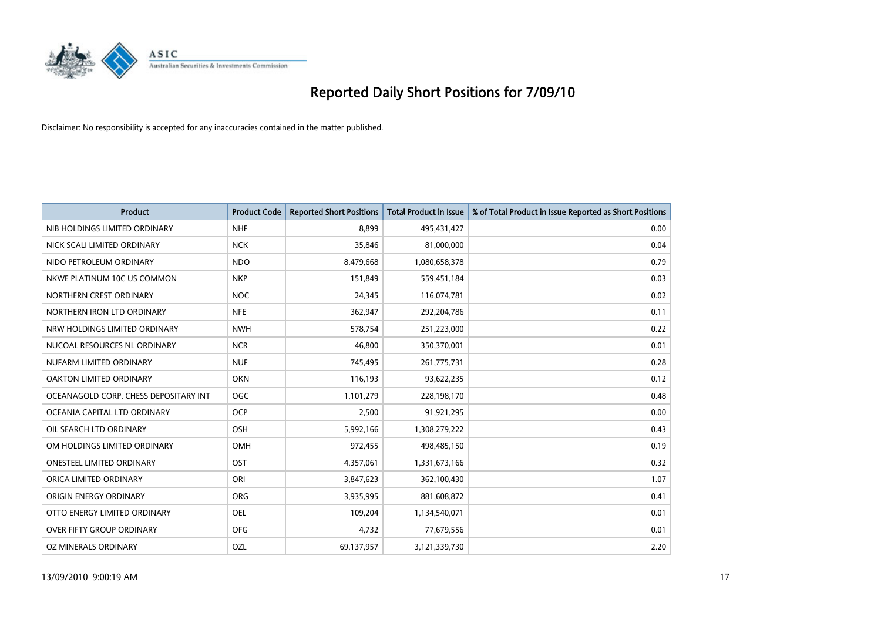

| <b>Product</b>                        | <b>Product Code</b> | <b>Reported Short Positions</b> | Total Product in Issue | % of Total Product in Issue Reported as Short Positions |
|---------------------------------------|---------------------|---------------------------------|------------------------|---------------------------------------------------------|
| NIB HOLDINGS LIMITED ORDINARY         | <b>NHF</b>          | 8.899                           | 495,431,427            | 0.00                                                    |
| NICK SCALI LIMITED ORDINARY           | <b>NCK</b>          | 35,846                          | 81,000,000             | 0.04                                                    |
| NIDO PETROLEUM ORDINARY               | <b>NDO</b>          | 8,479,668                       | 1,080,658,378          | 0.79                                                    |
| NKWE PLATINUM 10C US COMMON           | <b>NKP</b>          | 151,849                         | 559,451,184            | 0.03                                                    |
| NORTHERN CREST ORDINARY               | <b>NOC</b>          | 24,345                          | 116,074,781            | 0.02                                                    |
| NORTHERN IRON LTD ORDINARY            | <b>NFE</b>          | 362,947                         | 292,204,786            | 0.11                                                    |
| NRW HOLDINGS LIMITED ORDINARY         | <b>NWH</b>          | 578,754                         | 251,223,000            | 0.22                                                    |
| NUCOAL RESOURCES NL ORDINARY          | <b>NCR</b>          | 46,800                          | 350,370,001            | 0.01                                                    |
| NUFARM LIMITED ORDINARY               | <b>NUF</b>          | 745,495                         | 261,775,731            | 0.28                                                    |
| <b>OAKTON LIMITED ORDINARY</b>        | <b>OKN</b>          | 116,193                         | 93,622,235             | 0.12                                                    |
| OCEANAGOLD CORP. CHESS DEPOSITARY INT | <b>OGC</b>          | 1,101,279                       | 228,198,170            | 0.48                                                    |
| OCEANIA CAPITAL LTD ORDINARY          | <b>OCP</b>          | 2,500                           | 91,921,295             | 0.00                                                    |
| OIL SEARCH LTD ORDINARY               | OSH                 | 5,992,166                       | 1,308,279,222          | 0.43                                                    |
| OM HOLDINGS LIMITED ORDINARY          | OMH                 | 972,455                         | 498,485,150            | 0.19                                                    |
| <b>ONESTEEL LIMITED ORDINARY</b>      | OST                 | 4,357,061                       | 1,331,673,166          | 0.32                                                    |
| ORICA LIMITED ORDINARY                | ORI                 | 3,847,623                       | 362,100,430            | 1.07                                                    |
| ORIGIN ENERGY ORDINARY                | ORG                 | 3,935,995                       | 881,608,872            | 0.41                                                    |
| OTTO ENERGY LIMITED ORDINARY          | OEL                 | 109,204                         | 1,134,540,071          | 0.01                                                    |
| <b>OVER FIFTY GROUP ORDINARY</b>      | <b>OFG</b>          | 4,732                           | 77,679,556             | 0.01                                                    |
| OZ MINERALS ORDINARY                  | OZL                 | 69,137,957                      | 3,121,339,730          | 2.20                                                    |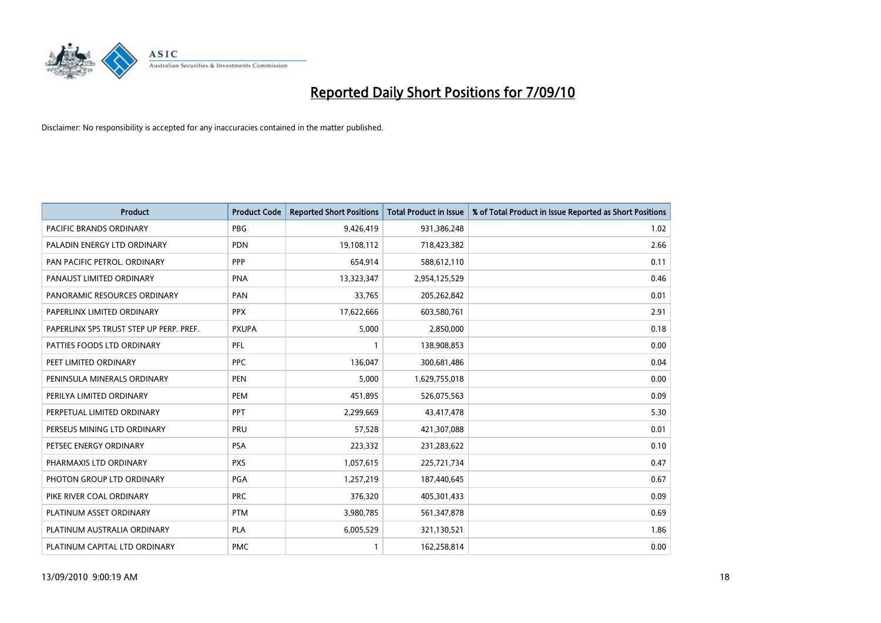

| <b>Product</b>                          | <b>Product Code</b> | <b>Reported Short Positions</b> | <b>Total Product in Issue</b> | % of Total Product in Issue Reported as Short Positions |
|-----------------------------------------|---------------------|---------------------------------|-------------------------------|---------------------------------------------------------|
| <b>PACIFIC BRANDS ORDINARY</b>          | <b>PBG</b>          | 9,426,419                       | 931,386,248                   | 1.02                                                    |
| PALADIN ENERGY LTD ORDINARY             | <b>PDN</b>          | 19,108,112                      | 718,423,382                   | 2.66                                                    |
| PAN PACIFIC PETROL. ORDINARY            | PPP                 | 654,914                         | 588,612,110                   | 0.11                                                    |
| PANAUST LIMITED ORDINARY                | <b>PNA</b>          | 13,323,347                      | 2,954,125,529                 | 0.46                                                    |
| PANORAMIC RESOURCES ORDINARY            | PAN                 | 33,765                          | 205,262,842                   | 0.01                                                    |
| PAPERLINX LIMITED ORDINARY              | <b>PPX</b>          | 17,622,666                      | 603,580,761                   | 2.91                                                    |
| PAPERLINX SPS TRUST STEP UP PERP. PREF. | <b>PXUPA</b>        | 5,000                           | 2,850,000                     | 0.18                                                    |
| PATTIES FOODS LTD ORDINARY              | PFL                 |                                 | 138,908,853                   | 0.00                                                    |
| PEET LIMITED ORDINARY                   | <b>PPC</b>          | 136,047                         | 300,681,486                   | 0.04                                                    |
| PENINSULA MINERALS ORDINARY             | <b>PEN</b>          | 5.000                           | 1,629,755,018                 | 0.00                                                    |
| PERILYA LIMITED ORDINARY                | PEM                 | 451,895                         | 526,075,563                   | 0.09                                                    |
| PERPETUAL LIMITED ORDINARY              | <b>PPT</b>          | 2,299,669                       | 43,417,478                    | 5.30                                                    |
| PERSEUS MINING LTD ORDINARY             | PRU                 | 57,528                          | 421,307,088                   | 0.01                                                    |
| PETSEC ENERGY ORDINARY                  | <b>PSA</b>          | 223,332                         | 231,283,622                   | 0.10                                                    |
| PHARMAXIS LTD ORDINARY                  | <b>PXS</b>          | 1,057,615                       | 225,721,734                   | 0.47                                                    |
| PHOTON GROUP LTD ORDINARY               | PGA                 | 1,257,219                       | 187,440,645                   | 0.67                                                    |
| PIKE RIVER COAL ORDINARY                | <b>PRC</b>          | 376,320                         | 405,301,433                   | 0.09                                                    |
| PLATINUM ASSET ORDINARY                 | <b>PTM</b>          | 3,980,785                       | 561,347,878                   | 0.69                                                    |
| PLATINUM AUSTRALIA ORDINARY             | <b>PLA</b>          | 6,005,529                       | 321,130,521                   | 1.86                                                    |
| PLATINUM CAPITAL LTD ORDINARY           | <b>PMC</b>          |                                 | 162,258,814                   | 0.00                                                    |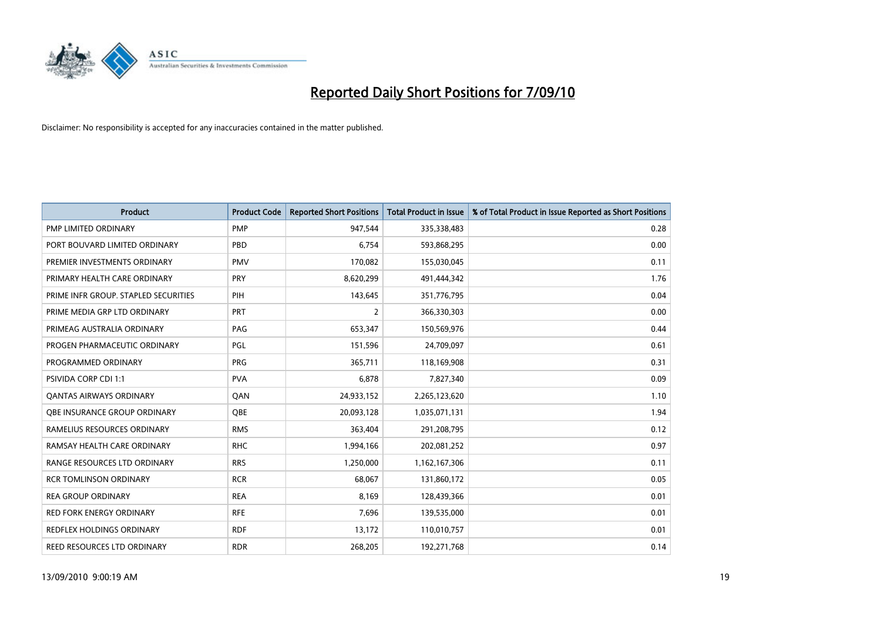

| <b>Product</b>                       | <b>Product Code</b> | <b>Reported Short Positions</b> | Total Product in Issue | % of Total Product in Issue Reported as Short Positions |
|--------------------------------------|---------------------|---------------------------------|------------------------|---------------------------------------------------------|
| <b>PMP LIMITED ORDINARY</b>          | <b>PMP</b>          | 947,544                         | 335,338,483            | 0.28                                                    |
| PORT BOUVARD LIMITED ORDINARY        | PBD                 | 6.754                           | 593,868,295            | 0.00                                                    |
| PREMIER INVESTMENTS ORDINARY         | <b>PMV</b>          | 170,082                         | 155,030,045            | 0.11                                                    |
| PRIMARY HEALTH CARE ORDINARY         | <b>PRY</b>          | 8,620,299                       | 491,444,342            | 1.76                                                    |
| PRIME INFR GROUP. STAPLED SECURITIES | PIH                 | 143.645                         | 351,776,795            | 0.04                                                    |
| PRIME MEDIA GRP LTD ORDINARY         | <b>PRT</b>          | $\overline{2}$                  | 366,330,303            | 0.00                                                    |
| PRIMEAG AUSTRALIA ORDINARY           | PAG                 | 653,347                         | 150,569,976            | 0.44                                                    |
| PROGEN PHARMACEUTIC ORDINARY         | <b>PGL</b>          | 151,596                         | 24,709,097             | 0.61                                                    |
| PROGRAMMED ORDINARY                  | <b>PRG</b>          | 365,711                         | 118,169,908            | 0.31                                                    |
| <b>PSIVIDA CORP CDI 1:1</b>          | <b>PVA</b>          | 6.878                           | 7,827,340              | 0.09                                                    |
| <b>QANTAS AIRWAYS ORDINARY</b>       | QAN                 | 24,933,152                      | 2,265,123,620          | 1.10                                                    |
| <b>OBE INSURANCE GROUP ORDINARY</b>  | <b>OBE</b>          | 20,093,128                      | 1,035,071,131          | 1.94                                                    |
| RAMELIUS RESOURCES ORDINARY          | <b>RMS</b>          | 363.404                         | 291,208,795            | 0.12                                                    |
| RAMSAY HEALTH CARE ORDINARY          | <b>RHC</b>          | 1,994,166                       | 202,081,252            | 0.97                                                    |
| RANGE RESOURCES LTD ORDINARY         | <b>RRS</b>          | 1,250,000                       | 1,162,167,306          | 0.11                                                    |
| <b>RCR TOMLINSON ORDINARY</b>        | <b>RCR</b>          | 68.067                          | 131,860,172            | 0.05                                                    |
| <b>REA GROUP ORDINARY</b>            | <b>REA</b>          | 8,169                           | 128,439,366            | 0.01                                                    |
| RED FORK ENERGY ORDINARY             | <b>RFE</b>          | 7,696                           | 139,535,000            | 0.01                                                    |
| <b>REDFLEX HOLDINGS ORDINARY</b>     | <b>RDF</b>          | 13,172                          | 110,010,757            | 0.01                                                    |
| REED RESOURCES LTD ORDINARY          | <b>RDR</b>          | 268,205                         | 192,271,768            | 0.14                                                    |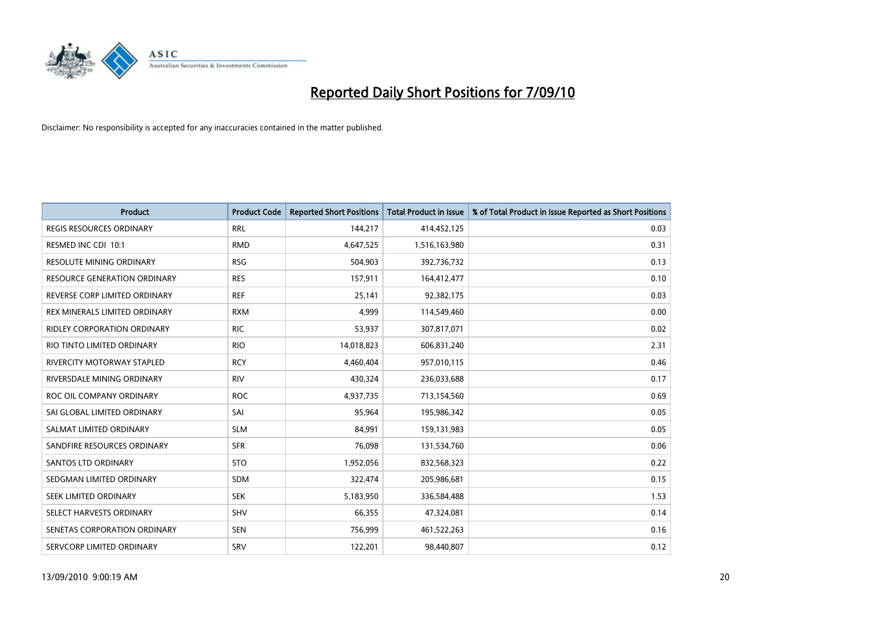

| <b>Product</b>                     | <b>Product Code</b> | <b>Reported Short Positions</b> | <b>Total Product in Issue</b> | % of Total Product in Issue Reported as Short Positions |
|------------------------------------|---------------------|---------------------------------|-------------------------------|---------------------------------------------------------|
| <b>REGIS RESOURCES ORDINARY</b>    | <b>RRL</b>          | 144,217                         | 414,452,125                   | 0.03                                                    |
| RESMED INC CDI 10:1                | <b>RMD</b>          | 4,647,525                       | 1,516,163,980                 | 0.31                                                    |
| <b>RESOLUTE MINING ORDINARY</b>    | <b>RSG</b>          | 504,903                         | 392,736,732                   | 0.13                                                    |
| RESOURCE GENERATION ORDINARY       | <b>RES</b>          | 157,911                         | 164,412,477                   | 0.10                                                    |
| REVERSE CORP LIMITED ORDINARY      | <b>REF</b>          | 25.141                          | 92,382,175                    | 0.03                                                    |
| REX MINERALS LIMITED ORDINARY      | <b>RXM</b>          | 4.999                           | 114,549,460                   | 0.00                                                    |
| <b>RIDLEY CORPORATION ORDINARY</b> | <b>RIC</b>          | 53.937                          | 307,817,071                   | 0.02                                                    |
| RIO TINTO LIMITED ORDINARY         | <b>RIO</b>          | 14,018,823                      | 606,831,240                   | 2.31                                                    |
| RIVERCITY MOTORWAY STAPLED         | <b>RCY</b>          | 4,460,404                       | 957,010,115                   | 0.46                                                    |
| RIVERSDALE MINING ORDINARY         | <b>RIV</b>          | 430,324                         | 236,033,688                   | 0.17                                                    |
| ROC OIL COMPANY ORDINARY           | <b>ROC</b>          | 4,937,735                       | 713,154,560                   | 0.69                                                    |
| SAI GLOBAL LIMITED ORDINARY        | SAI                 | 95,964                          | 195,986,342                   | 0.05                                                    |
| SALMAT LIMITED ORDINARY            | <b>SLM</b>          | 84.991                          | 159,131,983                   | 0.05                                                    |
| SANDFIRE RESOURCES ORDINARY        | <b>SFR</b>          | 76.098                          | 131,534,760                   | 0.06                                                    |
| <b>SANTOS LTD ORDINARY</b>         | <b>STO</b>          | 1,952,056                       | 832,568,323                   | 0.22                                                    |
| SEDGMAN LIMITED ORDINARY           | <b>SDM</b>          | 322,474                         | 205,986,681                   | 0.15                                                    |
| <b>SEEK LIMITED ORDINARY</b>       | <b>SEK</b>          | 5,183,950                       | 336,584,488                   | 1.53                                                    |
| SELECT HARVESTS ORDINARY           | SHV                 | 66,355                          | 47,324,081                    | 0.14                                                    |
| SENETAS CORPORATION ORDINARY       | <b>SEN</b>          | 756,999                         | 461,522,263                   | 0.16                                                    |
| SERVCORP LIMITED ORDINARY          | SRV                 | 122,201                         | 98,440,807                    | 0.12                                                    |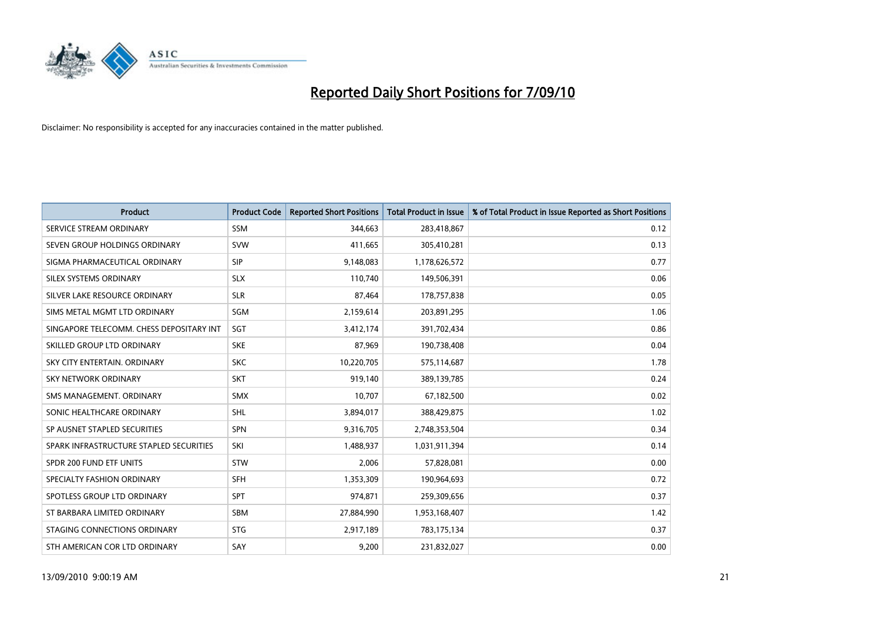

| <b>Product</b>                           | <b>Product Code</b> | <b>Reported Short Positions</b> | Total Product in Issue | % of Total Product in Issue Reported as Short Positions |
|------------------------------------------|---------------------|---------------------------------|------------------------|---------------------------------------------------------|
| SERVICE STREAM ORDINARY                  | <b>SSM</b>          | 344,663                         | 283,418,867            | 0.12                                                    |
| SEVEN GROUP HOLDINGS ORDINARY            | <b>SVW</b>          | 411,665                         | 305,410,281            | 0.13                                                    |
| SIGMA PHARMACEUTICAL ORDINARY            | SIP                 | 9,148,083                       | 1,178,626,572          | 0.77                                                    |
| SILEX SYSTEMS ORDINARY                   | <b>SLX</b>          | 110,740                         | 149,506,391            | 0.06                                                    |
| SILVER LAKE RESOURCE ORDINARY            | <b>SLR</b>          | 87,464                          | 178,757,838            | 0.05                                                    |
| SIMS METAL MGMT LTD ORDINARY             | SGM                 | 2,159,614                       | 203,891,295            | 1.06                                                    |
| SINGAPORE TELECOMM. CHESS DEPOSITARY INT | SGT                 | 3,412,174                       | 391,702,434            | 0.86                                                    |
| SKILLED GROUP LTD ORDINARY               | <b>SKE</b>          | 87,969                          | 190,738,408            | 0.04                                                    |
| SKY CITY ENTERTAIN. ORDINARY             | <b>SKC</b>          | 10,220,705                      | 575,114,687            | 1.78                                                    |
| <b>SKY NETWORK ORDINARY</b>              | <b>SKT</b>          | 919,140                         | 389,139,785            | 0.24                                                    |
| SMS MANAGEMENT, ORDINARY                 | <b>SMX</b>          | 10,707                          | 67,182,500             | 0.02                                                    |
| SONIC HEALTHCARE ORDINARY                | <b>SHL</b>          | 3,894,017                       | 388,429,875            | 1.02                                                    |
| SP AUSNET STAPLED SECURITIES             | SPN                 | 9,316,705                       | 2,748,353,504          | 0.34                                                    |
| SPARK INFRASTRUCTURE STAPLED SECURITIES  | SKI                 | 1,488,937                       | 1,031,911,394          | 0.14                                                    |
| SPDR 200 FUND ETF UNITS                  | STW                 | 2,006                           | 57,828,081             | 0.00                                                    |
| SPECIALTY FASHION ORDINARY               | <b>SFH</b>          | 1,353,309                       | 190,964,693            | 0.72                                                    |
| SPOTLESS GROUP LTD ORDINARY              | <b>SPT</b>          | 974,871                         | 259,309,656            | 0.37                                                    |
| ST BARBARA LIMITED ORDINARY              | <b>SBM</b>          | 27,884,990                      | 1,953,168,407          | 1.42                                                    |
| STAGING CONNECTIONS ORDINARY             | <b>STG</b>          | 2,917,189                       | 783,175,134            | 0.37                                                    |
| STH AMERICAN COR LTD ORDINARY            | SAY                 | 9.200                           | 231,832,027            | 0.00                                                    |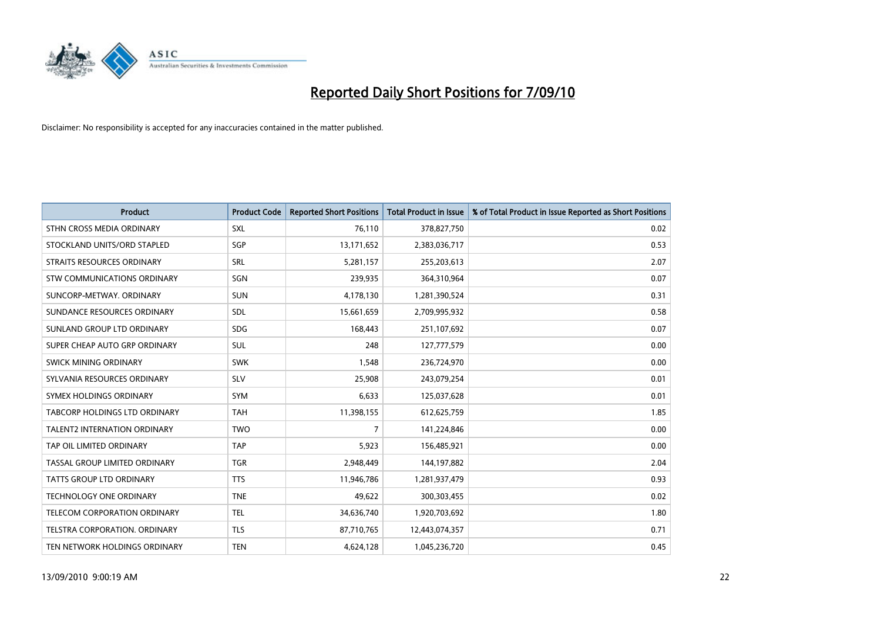

| <b>Product</b>                       | <b>Product Code</b> | <b>Reported Short Positions</b> | <b>Total Product in Issue</b> | % of Total Product in Issue Reported as Short Positions |
|--------------------------------------|---------------------|---------------------------------|-------------------------------|---------------------------------------------------------|
| STHN CROSS MEDIA ORDINARY            | <b>SXL</b>          | 76,110                          | 378,827,750                   | 0.02                                                    |
| STOCKLAND UNITS/ORD STAPLED          | SGP                 | 13,171,652                      | 2,383,036,717                 | 0.53                                                    |
| STRAITS RESOURCES ORDINARY           | SRL                 | 5,281,157                       | 255,203,613                   | 2.07                                                    |
| STW COMMUNICATIONS ORDINARY          | SGN                 | 239,935                         | 364,310,964                   | 0.07                                                    |
| SUNCORP-METWAY, ORDINARY             | <b>SUN</b>          | 4,178,130                       | 1,281,390,524                 | 0.31                                                    |
| SUNDANCE RESOURCES ORDINARY          | <b>SDL</b>          | 15,661,659                      | 2,709,995,932                 | 0.58                                                    |
| SUNLAND GROUP LTD ORDINARY           | <b>SDG</b>          | 168,443                         | 251,107,692                   | 0.07                                                    |
| SUPER CHEAP AUTO GRP ORDINARY        | <b>SUL</b>          | 248                             | 127,777,579                   | 0.00                                                    |
| SWICK MINING ORDINARY                | <b>SWK</b>          | 1,548                           | 236,724,970                   | 0.00                                                    |
| SYLVANIA RESOURCES ORDINARY          | SLV                 | 25,908                          | 243,079,254                   | 0.01                                                    |
| SYMEX HOLDINGS ORDINARY              | SYM                 | 6,633                           | 125,037,628                   | 0.01                                                    |
| <b>TABCORP HOLDINGS LTD ORDINARY</b> | <b>TAH</b>          | 11,398,155                      | 612,625,759                   | 1.85                                                    |
| <b>TALENT2 INTERNATION ORDINARY</b>  | <b>TWO</b>          | 7                               | 141,224,846                   | 0.00                                                    |
| TAP OIL LIMITED ORDINARY             | <b>TAP</b>          | 5,923                           | 156,485,921                   | 0.00                                                    |
| TASSAL GROUP LIMITED ORDINARY        | <b>TGR</b>          | 2,948,449                       | 144,197,882                   | 2.04                                                    |
| TATTS GROUP LTD ORDINARY             | <b>TTS</b>          | 11,946,786                      | 1,281,937,479                 | 0.93                                                    |
| TECHNOLOGY ONE ORDINARY              | <b>TNE</b>          | 49,622                          | 300,303,455                   | 0.02                                                    |
| TELECOM CORPORATION ORDINARY         | <b>TEL</b>          | 34,636,740                      | 1,920,703,692                 | 1.80                                                    |
| TELSTRA CORPORATION, ORDINARY        | <b>TLS</b>          | 87,710,765                      | 12,443,074,357                | 0.71                                                    |
| TEN NETWORK HOLDINGS ORDINARY        | <b>TEN</b>          | 4,624,128                       | 1,045,236,720                 | 0.45                                                    |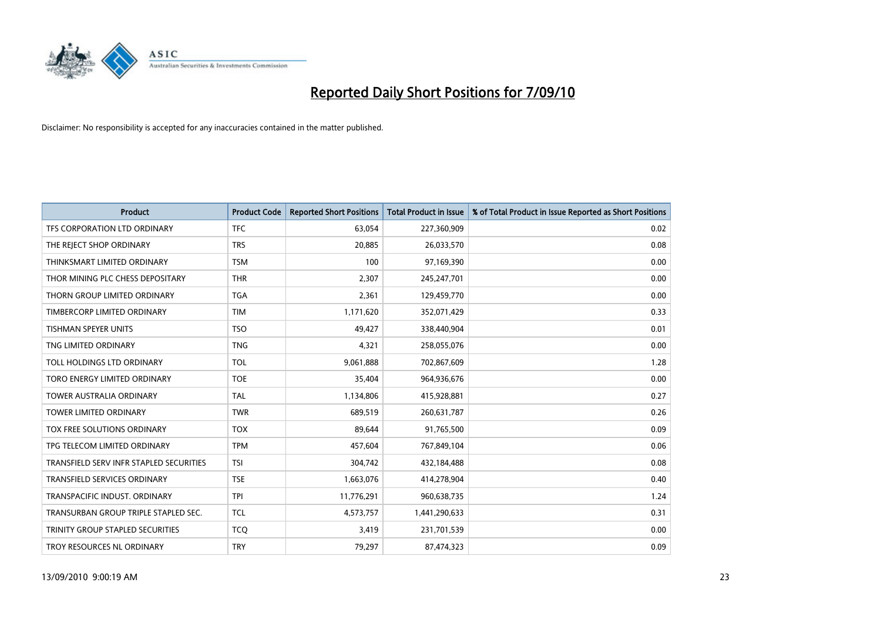

| <b>Product</b>                          | <b>Product Code</b> | <b>Reported Short Positions</b> | Total Product in Issue | % of Total Product in Issue Reported as Short Positions |
|-----------------------------------------|---------------------|---------------------------------|------------------------|---------------------------------------------------------|
| TFS CORPORATION LTD ORDINARY            | <b>TFC</b>          | 63,054                          | 227,360,909            | 0.02                                                    |
| THE REJECT SHOP ORDINARY                | <b>TRS</b>          | 20,885                          | 26,033,570             | 0.08                                                    |
| THINKSMART LIMITED ORDINARY             | <b>TSM</b>          | 100                             | 97,169,390             | 0.00                                                    |
| THOR MINING PLC CHESS DEPOSITARY        | <b>THR</b>          | 2,307                           | 245,247,701            | 0.00                                                    |
| THORN GROUP LIMITED ORDINARY            | <b>TGA</b>          | 2,361                           | 129,459,770            | 0.00                                                    |
| TIMBERCORP LIMITED ORDINARY             | <b>TIM</b>          | 1,171,620                       | 352,071,429            | 0.33                                                    |
| <b>TISHMAN SPEYER UNITS</b>             | <b>TSO</b>          | 49,427                          | 338,440,904            | 0.01                                                    |
| TNG LIMITED ORDINARY                    | <b>TNG</b>          | 4,321                           | 258,055,076            | 0.00                                                    |
| TOLL HOLDINGS LTD ORDINARY              | <b>TOL</b>          | 9,061,888                       | 702,867,609            | 1.28                                                    |
| TORO ENERGY LIMITED ORDINARY            | <b>TOE</b>          | 35,404                          | 964,936,676            | 0.00                                                    |
| <b>TOWER AUSTRALIA ORDINARY</b>         | <b>TAL</b>          | 1,134,806                       | 415,928,881            | 0.27                                                    |
| <b>TOWER LIMITED ORDINARY</b>           | <b>TWR</b>          | 689,519                         | 260,631,787            | 0.26                                                    |
| TOX FREE SOLUTIONS ORDINARY             | <b>TOX</b>          | 89,644                          | 91,765,500             | 0.09                                                    |
| TPG TELECOM LIMITED ORDINARY            | <b>TPM</b>          | 457,604                         | 767,849,104            | 0.06                                                    |
| TRANSFIELD SERV INFR STAPLED SECURITIES | <b>TSI</b>          | 304,742                         | 432,184,488            | 0.08                                                    |
| <b>TRANSFIELD SERVICES ORDINARY</b>     | <b>TSE</b>          | 1,663,076                       | 414,278,904            | 0.40                                                    |
| TRANSPACIFIC INDUST. ORDINARY           | <b>TPI</b>          | 11,776,291                      | 960,638,735            | 1.24                                                    |
| TRANSURBAN GROUP TRIPLE STAPLED SEC.    | <b>TCL</b>          | 4,573,757                       | 1,441,290,633          | 0.31                                                    |
| TRINITY GROUP STAPLED SECURITIES        | <b>TCO</b>          | 3,419                           | 231,701,539            | 0.00                                                    |
| TROY RESOURCES NL ORDINARY              | <b>TRY</b>          | 79,297                          | 87,474,323             | 0.09                                                    |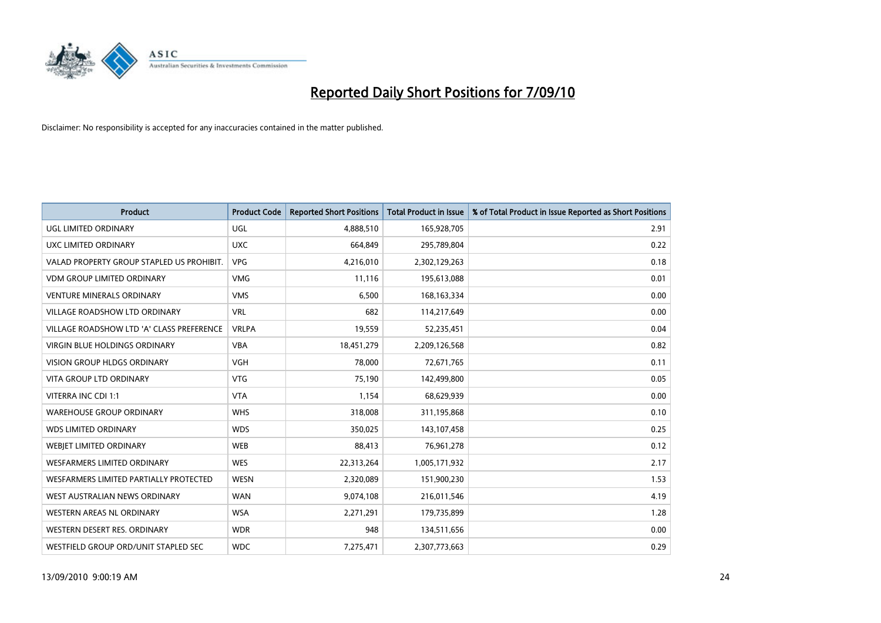

| <b>Product</b>                            | <b>Product Code</b> | <b>Reported Short Positions</b> | <b>Total Product in Issue</b> | % of Total Product in Issue Reported as Short Positions |
|-------------------------------------------|---------------------|---------------------------------|-------------------------------|---------------------------------------------------------|
| <b>UGL LIMITED ORDINARY</b>               | UGL                 | 4,888,510                       | 165,928,705                   | 2.91                                                    |
| UXC LIMITED ORDINARY                      | <b>UXC</b>          | 664,849                         | 295,789,804                   | 0.22                                                    |
| VALAD PROPERTY GROUP STAPLED US PROHIBIT. | <b>VPG</b>          | 4,216,010                       | 2,302,129,263                 | 0.18                                                    |
| <b>VDM GROUP LIMITED ORDINARY</b>         | <b>VMG</b>          | 11,116                          | 195,613,088                   | 0.01                                                    |
| <b>VENTURE MINERALS ORDINARY</b>          | <b>VMS</b>          | 6,500                           | 168, 163, 334                 | 0.00                                                    |
| <b>VILLAGE ROADSHOW LTD ORDINARY</b>      | <b>VRL</b>          | 682                             | 114,217,649                   | 0.00                                                    |
| VILLAGE ROADSHOW LTD 'A' CLASS PREFERENCE | <b>VRLPA</b>        | 19,559                          | 52,235,451                    | 0.04                                                    |
| <b>VIRGIN BLUE HOLDINGS ORDINARY</b>      | <b>VBA</b>          | 18,451,279                      | 2,209,126,568                 | 0.82                                                    |
| VISION GROUP HLDGS ORDINARY               | <b>VGH</b>          | 78,000                          | 72,671,765                    | 0.11                                                    |
| <b>VITA GROUP LTD ORDINARY</b>            | <b>VTG</b>          | 75,190                          | 142,499,800                   | 0.05                                                    |
| VITERRA INC CDI 1:1                       | <b>VTA</b>          | 1,154                           | 68,629,939                    | 0.00                                                    |
| <b>WAREHOUSE GROUP ORDINARY</b>           | <b>WHS</b>          | 318,008                         | 311,195,868                   | 0.10                                                    |
| <b>WDS LIMITED ORDINARY</b>               | <b>WDS</b>          | 350,025                         | 143,107,458                   | 0.25                                                    |
| WEBIET LIMITED ORDINARY                   | <b>WEB</b>          | 88,413                          | 76,961,278                    | 0.12                                                    |
| <b>WESFARMERS LIMITED ORDINARY</b>        | <b>WES</b>          | 22,313,264                      | 1,005,171,932                 | 2.17                                                    |
| WESFARMERS LIMITED PARTIALLY PROTECTED    | <b>WESN</b>         | 2,320,089                       | 151,900,230                   | 1.53                                                    |
| WEST AUSTRALIAN NEWS ORDINARY             | <b>WAN</b>          | 9,074,108                       | 216,011,546                   | 4.19                                                    |
| WESTERN AREAS NL ORDINARY                 | <b>WSA</b>          | 2,271,291                       | 179,735,899                   | 1.28                                                    |
| WESTERN DESERT RES. ORDINARY              | <b>WDR</b>          | 948                             | 134,511,656                   | 0.00                                                    |
| WESTFIELD GROUP ORD/UNIT STAPLED SEC      | <b>WDC</b>          | 7,275,471                       | 2,307,773,663                 | 0.29                                                    |